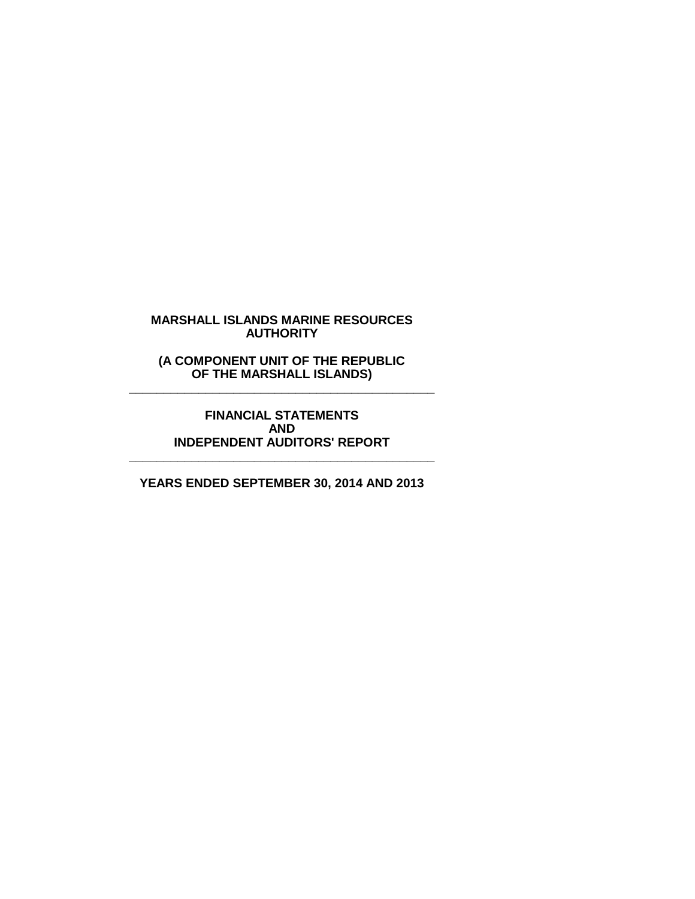**(A COMPONENT UNIT OF THE REPUBLIC OF THE MARSHALL ISLANDS) \_\_\_\_\_\_\_\_\_\_\_\_\_\_\_\_\_\_\_\_\_\_\_\_\_\_\_\_\_\_\_\_\_\_\_\_\_\_\_\_\_\_\_\_**

> **FINANCIAL STATEMENTS AND INDEPENDENT AUDITORS' REPORT**

**YEARS ENDED SEPTEMBER 30, 2014 AND 2013**

**\_\_\_\_\_\_\_\_\_\_\_\_\_\_\_\_\_\_\_\_\_\_\_\_\_\_\_\_\_\_\_\_\_\_\_\_\_\_\_\_\_\_\_\_**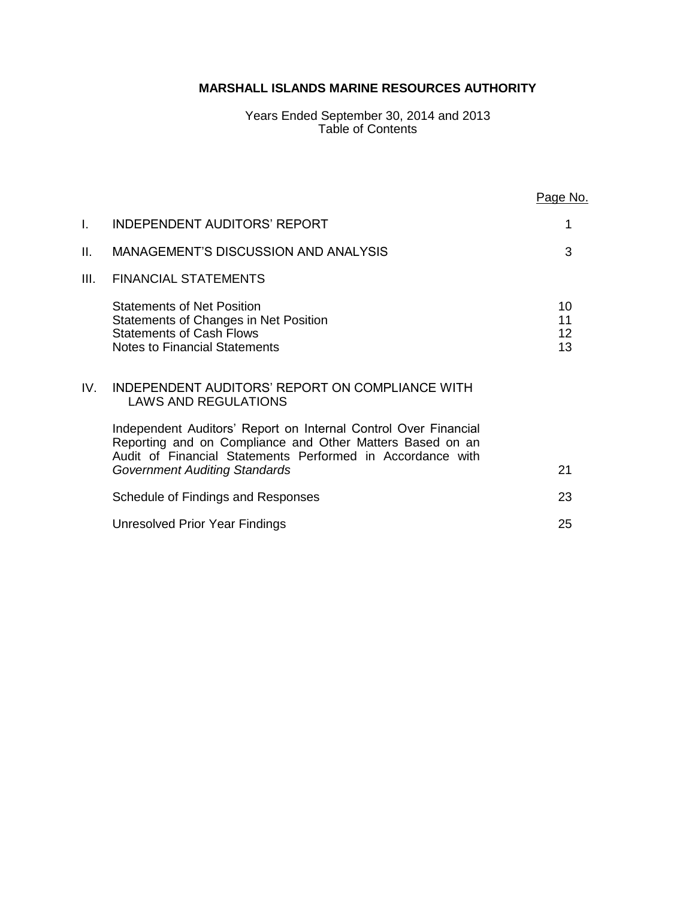Years Ended September 30, 2014 and 2013 Table of Contents

|      |                                                                                                                                                                                                                | <u>Page No.</u>      |
|------|----------------------------------------------------------------------------------------------------------------------------------------------------------------------------------------------------------------|----------------------|
| I.   | <b>INDEPENDENT AUDITORS' REPORT</b>                                                                                                                                                                            | 1                    |
| II.  | <b>MANAGEMENT'S DISCUSSION AND ANALYSIS</b>                                                                                                                                                                    | 3                    |
| III. | <b>FINANCIAL STATEMENTS</b>                                                                                                                                                                                    |                      |
|      | <b>Statements of Net Position</b><br>Statements of Changes in Net Position<br><b>Statements of Cash Flows</b><br>Notes to Financial Statements                                                                 | 10<br>11<br>12<br>13 |
| IV.  | INDEPENDENT AUDITORS' REPORT ON COMPLIANCE WITH<br><b>LAWS AND REGULATIONS</b><br>Independent Auditors' Report on Internal Control Over Financial<br>Reporting and on Compliance and Other Matters Based on an |                      |
|      | Audit of Financial Statements Performed in Accordance with<br><b>Government Auditing Standards</b>                                                                                                             | 21                   |
|      | Schedule of Findings and Responses                                                                                                                                                                             | 23                   |
|      | Unresolved Prior Year Findings                                                                                                                                                                                 | 25                   |
|      |                                                                                                                                                                                                                |                      |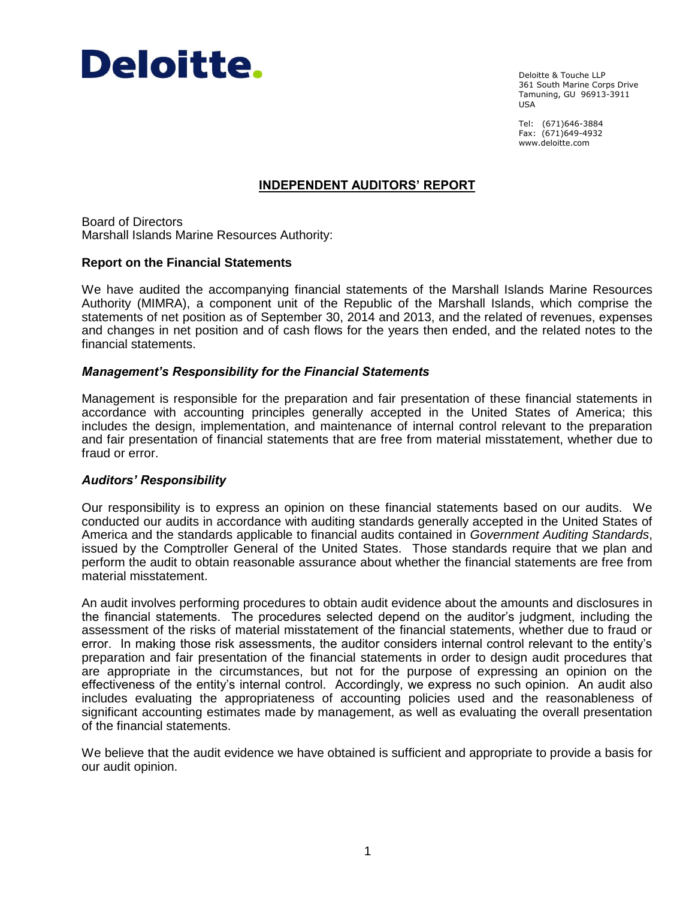

Deloitte & Touche LLP 361 South Marine Corps Drive Tamuning, GU 96913-3911 USA

Tel: (671)646-3884 Fax: (671)649-4932 www.deloitte.com

# **INDEPENDENT AUDITORS' REPORT**

Board of Directors Marshall Islands Marine Resources Authority:

### **Report on the Financial Statements**

We have audited the accompanying financial statements of the Marshall Islands Marine Resources Authority (MIMRA), a component unit of the Republic of the Marshall Islands, which comprise the statements of net position as of September 30, 2014 and 2013, and the related of revenues, expenses and changes in net position and of cash flows for the years then ended, and the related notes to the financial statements.

### *Management's Responsibility for the Financial Statements*

Management is responsible for the preparation and fair presentation of these financial statements in accordance with accounting principles generally accepted in the United States of America; this includes the design, implementation, and maintenance of internal control relevant to the preparation and fair presentation of financial statements that are free from material misstatement, whether due to fraud or error.

#### *Auditors' Responsibility*

Our responsibility is to express an opinion on these financial statements based on our audits. We conducted our audits in accordance with auditing standards generally accepted in the United States of America and the standards applicable to financial audits contained in *Government Auditing Standards*, issued by the Comptroller General of the United States. Those standards require that we plan and perform the audit to obtain reasonable assurance about whether the financial statements are free from material misstatement.

An audit involves performing procedures to obtain audit evidence about the amounts and disclosures in the financial statements. The procedures selected depend on the auditor's judgment, including the assessment of the risks of material misstatement of the financial statements, whether due to fraud or error. In making those risk assessments, the auditor considers internal control relevant to the entity's preparation and fair presentation of the financial statements in order to design audit procedures that are appropriate in the circumstances, but not for the purpose of expressing an opinion on the effectiveness of the entity's internal control. Accordingly, we express no such opinion. An audit also includes evaluating the appropriateness of accounting policies used and the reasonableness of significant accounting estimates made by management, as well as evaluating the overall presentation of the financial statements.

We believe that the audit evidence we have obtained is sufficient and appropriate to provide a basis for our audit opinion.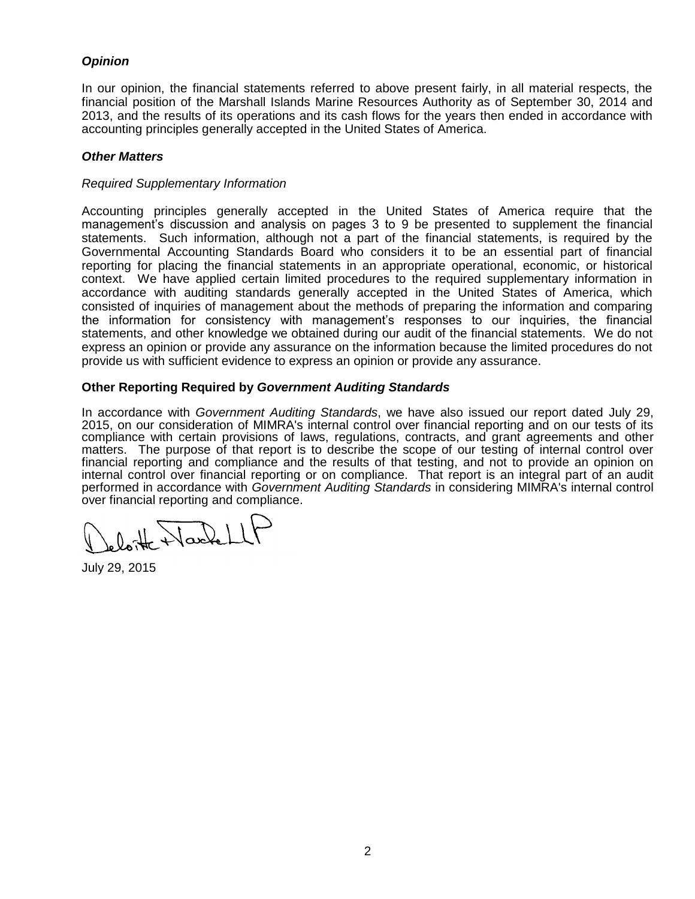# *Opinion*

In our opinion, the financial statements referred to above present fairly, in all material respects, the financial position of the Marshall Islands Marine Resources Authority as of September 30, 2014 and 2013, and the results of its operations and its cash flows for the years then ended in accordance with accounting principles generally accepted in the United States of America.

### *Other Matters*

### *Required Supplementary Information*

Accounting principles generally accepted in the United States of America require that the management's discussion and analysis on pages 3 to 9 be presented to supplement the financial statements. Such information, although not a part of the financial statements, is required by the Governmental Accounting Standards Board who considers it to be an essential part of financial reporting for placing the financial statements in an appropriate operational, economic, or historical context. We have applied certain limited procedures to the required supplementary information in accordance with auditing standards generally accepted in the United States of America, which consisted of inquiries of management about the methods of preparing the information and comparing the information for consistency with management's responses to our inquiries, the financial statements, and other knowledge we obtained during our audit of the financial statements. We do not express an opinion or provide any assurance on the information because the limited procedures do not provide us with sufficient evidence to express an opinion or provide any assurance.

# **Other Reporting Required by** *Government Auditing Standards*

In accordance with *Government Auditing Standards*, we have also issued our report dated July 29, 2015, on our consideration of MIMRA's internal control over financial reporting and on our tests of its compliance with certain provisions of laws, regulations, contracts, and grant agreements and other matters. The purpose of that report is to describe the scope of our testing of internal control over financial reporting and compliance and the results of that testing, and not to provide an opinion on internal control over financial reporting or on compliance. That report is an integral part of an audit performed in accordance with *Government Auditing Standards* in considering MIMRA's internal control over financial reporting and compliance.

Dette Nachell

July 29, 2015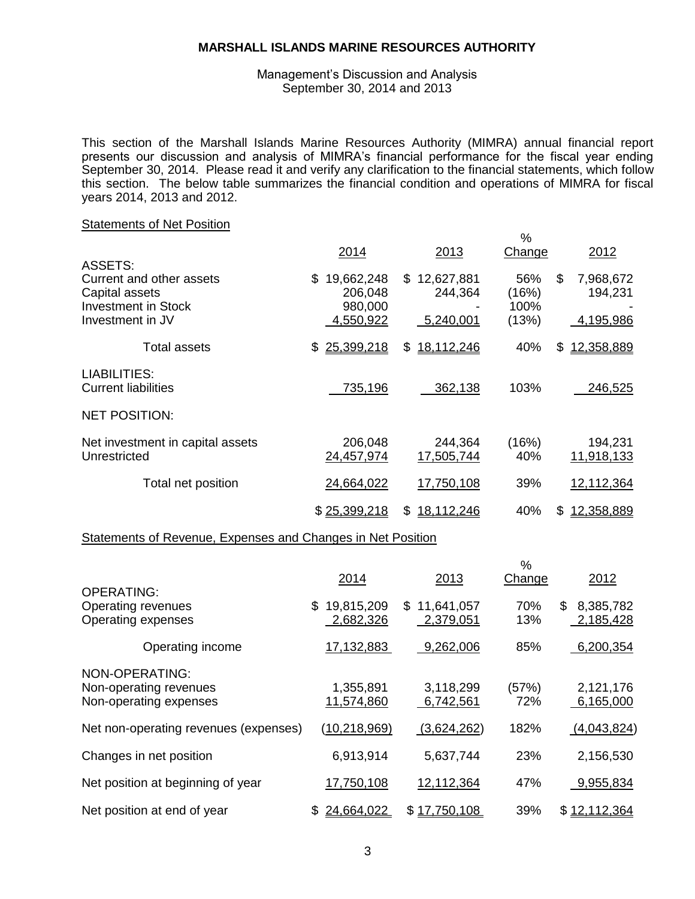#### Management's Discussion and Analysis September 30, 2014 and 2013

This section of the Marshall Islands Marine Resources Authority (MIMRA) annual financial report presents our discussion and analysis of MIMRA's financial performance for the fiscal year ending September 30, 2014. Please read it and verify any clarification to the financial statements, which follow this section. The below table summarizes the financial condition and operations of MIMRA for fiscal years 2014, 2013 and 2012.

 $\frac{0}{6}$ 

### **Statements of Net Position**

| <b>ASSETS:</b>                                                           | 2014                                   | 2013                         | Change               | 2012                                   |
|--------------------------------------------------------------------------|----------------------------------------|------------------------------|----------------------|----------------------------------------|
| Current and other assets<br>Capital assets<br><b>Investment in Stock</b> | 19,662,248<br>\$<br>206,048<br>980,000 | 12,627,881<br>\$.<br>244,364 | 56%<br>(16%)<br>100% | $\mathfrak{L}$<br>7,968,672<br>194,231 |
| Investment in JV                                                         | 4,550,922                              | 5,240,001                    | (13%)                | 4,195,986                              |
| Total assets                                                             | 25,399,218<br>\$                       | 18,112,246<br>\$             | 40%                  | 12,358,889<br>\$                       |
| LIABILITIES:<br><b>Current liabilities</b>                               | 735,196                                | 362,138                      | 103%                 | 246,525                                |
| <b>NET POSITION:</b>                                                     |                                        |                              |                      |                                        |
| Net investment in capital assets<br>Unrestricted                         | 206,048<br>24,457,974                  | 244,364<br>17,505,744        | (16%)<br>40%         | 194,231<br>11,918,133                  |
| Total net position                                                       | 24,664,022                             | 17,750,108                   | 39%                  | 12,112,364                             |
|                                                                          | \$25,399,218                           | \$<br>18,112,246             | 40%                  | \$<br>12,358,889                       |
|                                                                          |                                        |                              |                      |                                        |

# Statements of Revenue, Expenses and Changes in Net Position

|                                                                    | 2014                          | 2013                          | %<br>Change  | 2012                         |
|--------------------------------------------------------------------|-------------------------------|-------------------------------|--------------|------------------------------|
| <b>OPERATING:</b><br>Operating revenues<br>Operating expenses      | \$<br>19,815,209<br>2,682,326 | 11,641,057<br>\$<br>2,379,051 | 70%<br>13%   | 8,385,782<br>\$<br>2,185,428 |
| Operating income                                                   | 17,132,883                    | 9,262,006                     | 85%          | 6,200,354                    |
| NON-OPERATING:<br>Non-operating revenues<br>Non-operating expenses | 1,355,891<br>11,574,860       | 3,118,299<br>6,742,561        | (57%)<br>72% | 2,121,176<br>6,165,000       |
| Net non-operating revenues (expenses)                              | (10,218,969)                  | (3,624,262)                   | 182%         | (4,043,824)                  |
| Changes in net position                                            | 6,913,914                     | 5,637,744                     | 23%          | 2,156,530                    |
| Net position at beginning of year                                  | 17,750,108                    | 12,112,364                    | 47%          | 9,955,834                    |
| Net position at end of year                                        | 24,664,022<br>\$              | \$17,750,108                  | 39%          | \$12,112,364                 |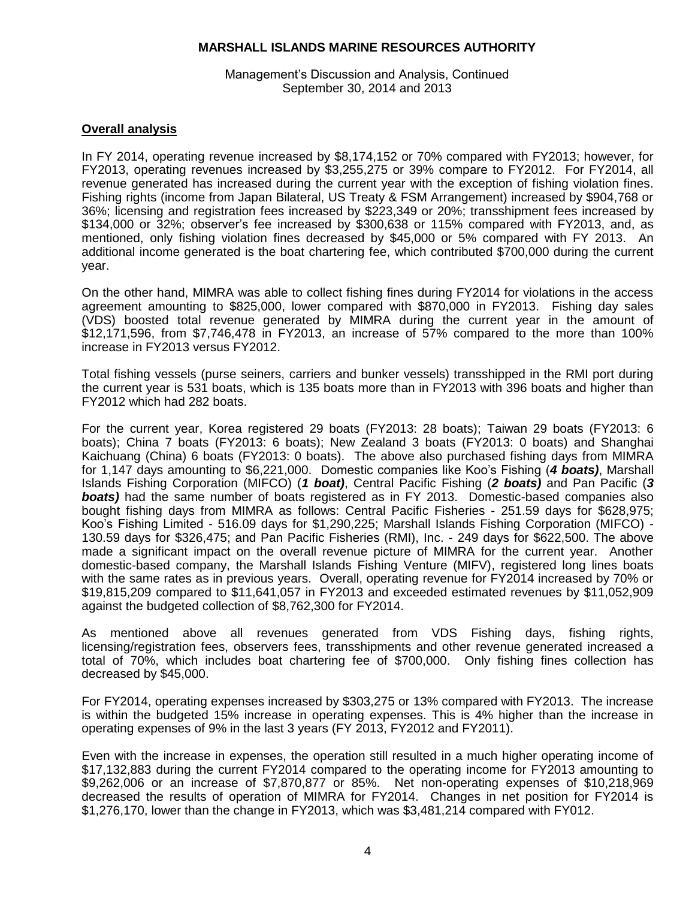Management's Discussion and Analysis, Continued September 30, 2014 and 2013

### **Overall analysis**

In FY 2014, operating revenue increased by \$8,174,152 or 70% compared with FY2013; however, for FY2013, operating revenues increased by \$3,255,275 or 39% compare to FY2012. For FY2014, all revenue generated has increased during the current year with the exception of fishing violation fines. Fishing rights (income from Japan Bilateral, US Treaty & FSM Arrangement) increased by \$904,768 or 36%; licensing and registration fees increased by \$223,349 or 20%; transshipment fees increased by \$134,000 or 32%; observer's fee increased by \$300,638 or 115% compared with FY2013, and, as mentioned, only fishing violation fines decreased by \$45,000 or 5% compared with FY 2013. An additional income generated is the boat chartering fee, which contributed \$700,000 during the current year.

On the other hand, MIMRA was able to collect fishing fines during FY2014 for violations in the access agreement amounting to \$825,000, lower compared with \$870,000 in FY2013. Fishing day sales (VDS) boosted total revenue generated by MIMRA during the current year in the amount of \$12,171,596, from \$7,746,478 in FY2013, an increase of 57% compared to the more than 100% increase in FY2013 versus FY2012.

Total fishing vessels (purse seiners, carriers and bunker vessels) transshipped in the RMI port during the current year is 531 boats, which is 135 boats more than in FY2013 with 396 boats and higher than FY2012 which had 282 boats.

For the current year, Korea registered 29 boats (FY2013: 28 boats); Taiwan 29 boats (FY2013: 6 boats); China 7 boats (FY2013: 6 boats); New Zealand 3 boats (FY2013: 0 boats) and Shanghai Kaichuang (China) 6 boats (FY2013: 0 boats). The above also purchased fishing days from MIMRA for 1,147 days amounting to \$6,221,000. Domestic companies like Koo's Fishing (*4 boats)*, Marshall Islands Fishing Corporation (MIFCO) (*1 boat)*, Central Pacific Fishing (*2 boats)* and Pan Pacific (*3*  **boats)** had the same number of boats registered as in FY 2013. Domestic-based companies also bought fishing days from MIMRA as follows: Central Pacific Fisheries - 251.59 days for \$628,975; Koo's Fishing Limited - 516.09 days for \$1,290,225; Marshall Islands Fishing Corporation (MIFCO) - 130.59 days for \$326,475; and Pan Pacific Fisheries (RMI), Inc. - 249 days for \$622,500. The above made a significant impact on the overall revenue picture of MIMRA for the current year. Another domestic-based company, the Marshall Islands Fishing Venture (MIFV), registered long lines boats with the same rates as in previous years. Overall, operating revenue for FY2014 increased by 70% or \$19,815,209 compared to \$11,641,057 in FY2013 and exceeded estimated revenues by \$11,052,909 against the budgeted collection of \$8,762,300 for FY2014.

As mentioned above all revenues generated from VDS Fishing days, fishing rights, licensing/registration fees, observers fees, transshipments and other revenue generated increased a total of 70%, which includes boat chartering fee of \$700,000. Only fishing fines collection has decreased by \$45,000.

For FY2014, operating expenses increased by \$303,275 or 13% compared with FY2013. The increase is within the budgeted 15% increase in operating expenses. This is 4% higher than the increase in operating expenses of 9% in the last 3 years (FY 2013, FY2012 and FY2011).

Even with the increase in expenses, the operation still resulted in a much higher operating income of \$17,132,883 during the current FY2014 compared to the operating income for FY2013 amounting to \$9,262,006 or an increase of \$7,870,877 or 85%. Net non-operating expenses of \$10,218,969 decreased the results of operation of MIMRA for FY2014. Changes in net position for FY2014 is \$1,276,170, lower than the change in FY2013, which was \$3,481,214 compared with FY012.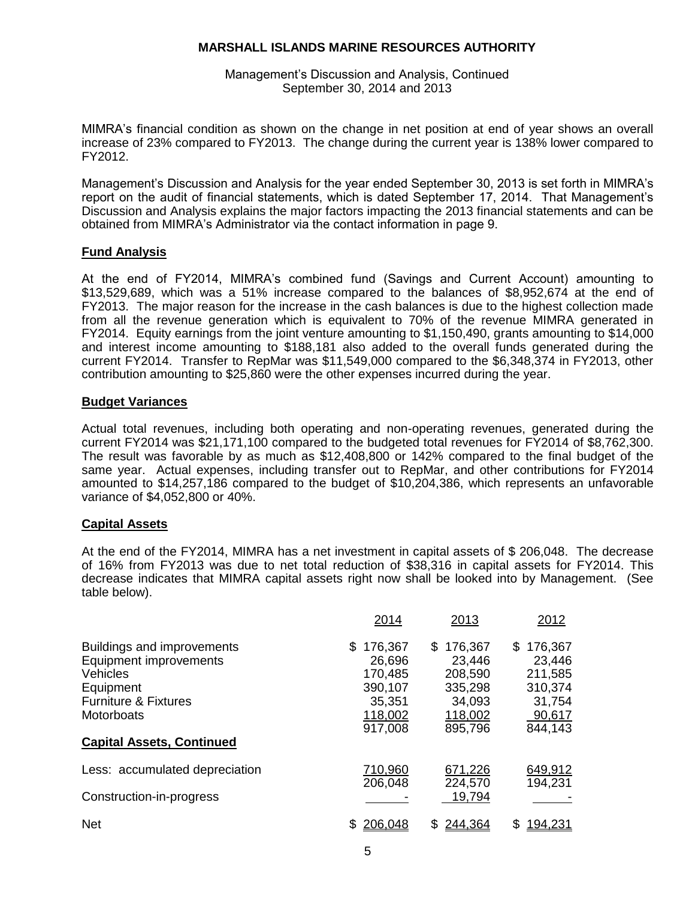Management's Discussion and Analysis, Continued September 30, 2014 and 2013

MIMRA's financial condition as shown on the change in net position at end of year shows an overall increase of 23% compared to FY2013. The change during the current year is 138% lower compared to FY2012.

Management's Discussion and Analysis for the year ended September 30, 2013 is set forth in MIMRA's report on the audit of financial statements, which is dated September 17, 2014. That Management's Discussion and Analysis explains the major factors impacting the 2013 financial statements and can be obtained from MIMRA's Administrator via the contact information in page 9.

# **Fund Analysis**

At the end of FY2014, MIMRA's combined fund (Savings and Current Account) amounting to \$13,529,689, which was a 51% increase compared to the balances of \$8,952,674 at the end of FY2013. The major reason for the increase in the cash balances is due to the highest collection made from all the revenue generation which is equivalent to 70% of the revenue MIMRA generated in FY2014. Equity earnings from the joint venture amounting to \$1,150,490, grants amounting to \$14,000 and interest income amounting to \$188,181 also added to the overall funds generated during the current FY2014. Transfer to RepMar was \$11,549,000 compared to the \$6,348,374 in FY2013, other contribution amounting to \$25,860 were the other expenses incurred during the year.

### **Budget Variances**

Actual total revenues, including both operating and non-operating revenues, generated during the current FY2014 was \$21,171,100 compared to the budgeted total revenues for FY2014 of \$8,762,300. The result was favorable by as much as \$12,408,800 or 142% compared to the final budget of the same year. Actual expenses, including transfer out to RepMar, and other contributions for FY2014 amounted to \$14,257,186 compared to the budget of \$10,204,386, which represents an unfavorable variance of \$4,052,800 or 40%.

### **Capital Assets**

At the end of the FY2014, MIMRA has a net investment in capital assets of \$ 206,048. The decrease of 16% from FY2013 was due to net total reduction of \$38,316 in capital assets for FY2014. This decrease indicates that MIMRA capital assets right now shall be looked into by Management. (See table below).

|                                  | 2014           | 2013           | 2012                |
|----------------------------------|----------------|----------------|---------------------|
| Buildings and improvements       | 176,367<br>\$. | 176,367<br>\$. | 176,367<br>S.       |
| Equipment improvements           | 26,696         | 23,446         | 23,446              |
| <b>Vehicles</b>                  | 170,485        | 208,590        | 211,585             |
| Equipment                        | 390,107        | 335,298        | 310,374             |
| <b>Furniture &amp; Fixtures</b>  | 35,351         | 34,093         | 31,754              |
| <b>Motorboats</b>                | 118,002        | 118,002        | 90,617              |
|                                  | 917,008        | 895,796        | 844,143             |
| <b>Capital Assets, Continued</b> |                |                |                     |
| Less: accumulated depreciation   | 710,960        | 671,226        | 649,912             |
|                                  | 206,048        | 224,570        | 194,231             |
| Construction-in-progress         |                | 19,794         |                     |
| <b>Net</b>                       |                | 244.364        | S<br><u>194,231</u> |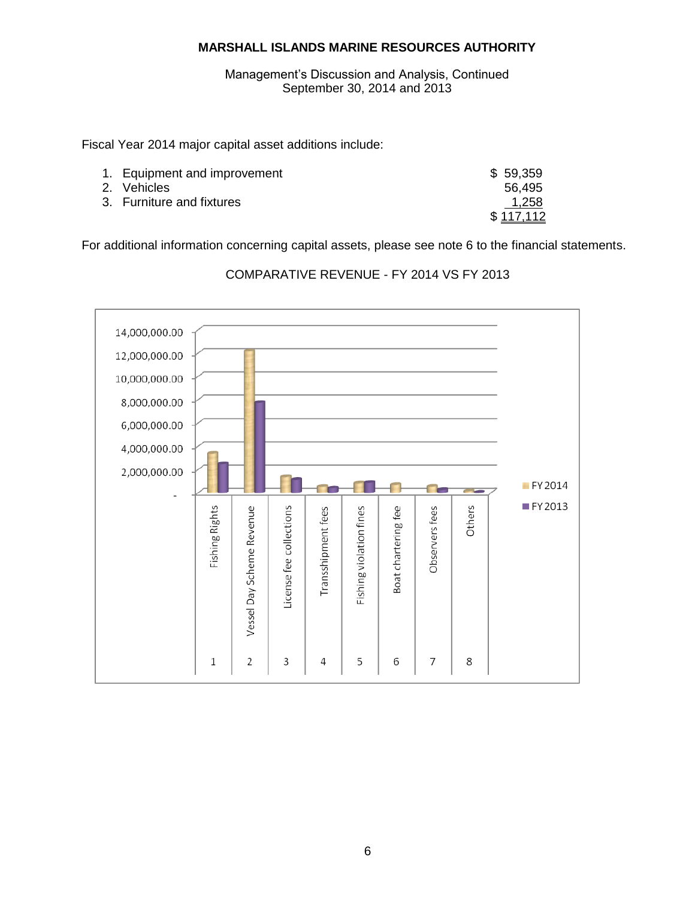Management's Discussion and Analysis, Continued September 30, 2014 and 2013

Fiscal Year 2014 major capital asset additions include:

| 1. Equipment and improvement | \$59,359  |
|------------------------------|-----------|
| 2. Vehicles                  | 56.495    |
| 3. Furniture and fixtures    | 1,258     |
|                              | \$117,112 |

For additional information concerning capital assets, please see note 6 to the financial statements.



COMPARATIVE REVENUE - FY 2014 VS FY 2013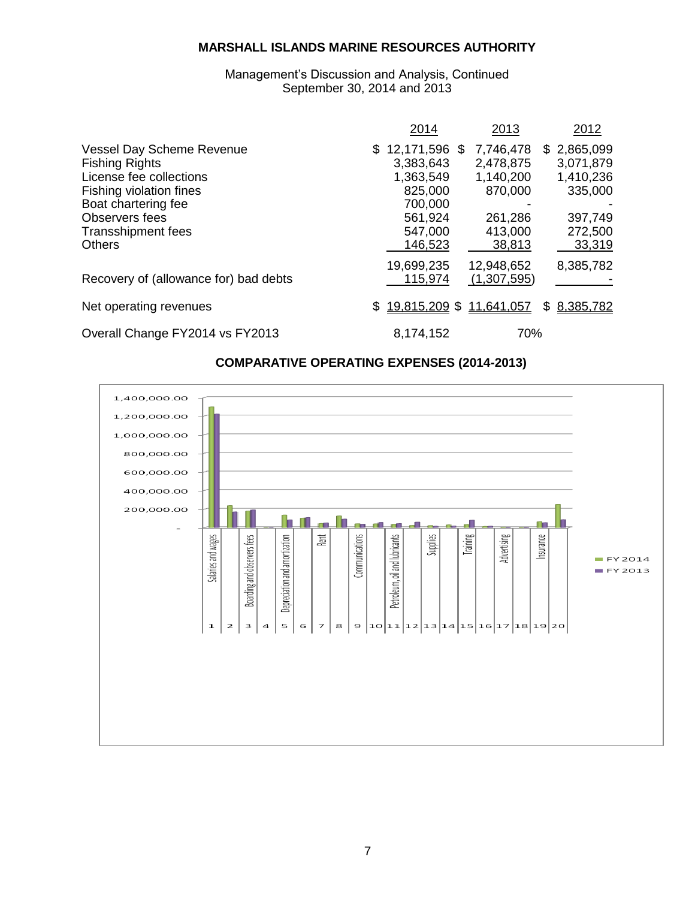Management's Discussion and Analysis, Continued September 30, 2014 and 2013

|                                       | 2014                | 2013        | 2012             |
|---------------------------------------|---------------------|-------------|------------------|
| Vessel Day Scheme Revenue             | 12,171,596 \$<br>S. | 7,746,478   | \$2,865,099      |
| <b>Fishing Rights</b>                 | 3,383,643           | 2,478,875   | 3,071,879        |
| License fee collections               | 1,363,549           | 1,140,200   | 1,410,236        |
| Fishing violation fines               | 825,000             | 870,000     | 335,000          |
| Boat chartering fee                   | 700,000             |             |                  |
| Observers fees                        | 561,924             | 261,286     | 397,749          |
| Transshipment fees                    | 547,000             | 413,000     | 272,500          |
| <b>Others</b>                         | 146,523             | 38,813      | 33,319           |
|                                       | 19,699,235          | 12,948,652  | 8,385,782        |
| Recovery of (allowance for) bad debts | 115,974             | (1,307,595) |                  |
| Net operating revenues                | \$19,815,209\$      | 11,641,057  | 8,385,782<br>\$. |
| Overall Change FY2014 vs FY2013       | 8,174,152           | 70%         |                  |



# **COMPARATIVE OPERATING EXPENSES (2014-2013)**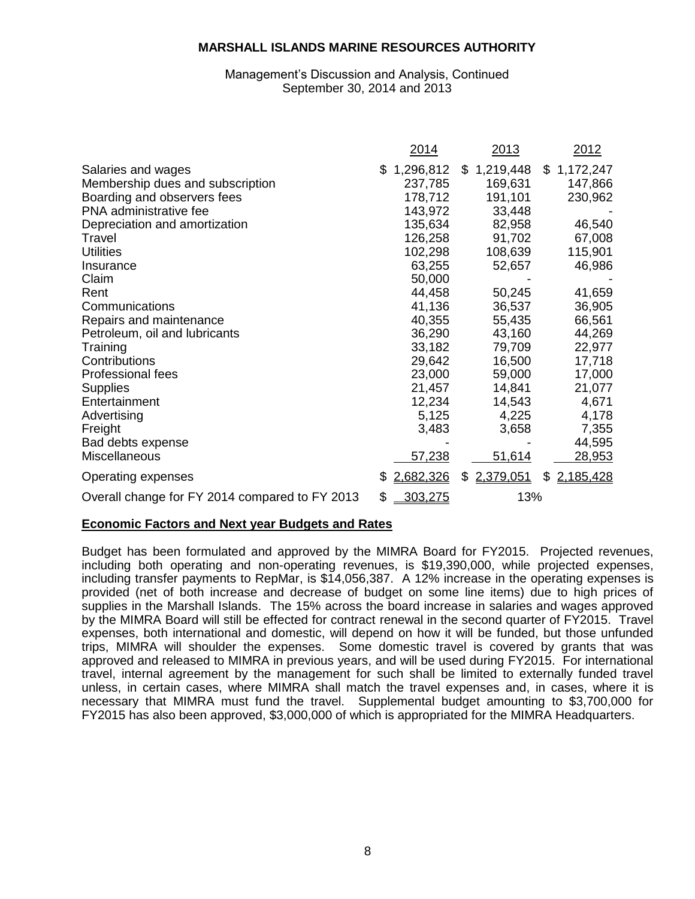Management's Discussion and Analysis, Continued September 30, 2014 and 2013

|                                                | 2014            | 2013            | 2012           |
|------------------------------------------------|-----------------|-----------------|----------------|
| Salaries and wages                             | 1,296,812<br>\$ | 1,219,448<br>\$ | \$1,172,247    |
| Membership dues and subscription               | 237,785         | 169,631         | 147,866        |
| Boarding and observers fees                    | 178,712         | 191,101         | 230,962        |
| PNA administrative fee                         | 143,972         | 33,448          |                |
| Depreciation and amortization                  | 135,634         | 82,958          | 46,540         |
| Travel                                         | 126,258         | 91,702          | 67,008         |
| <b>Utilities</b>                               | 102,298         | 108,639         | 115,901        |
| Insurance                                      | 63,255          | 52,657          | 46,986         |
| Claim                                          | 50,000          |                 |                |
| Rent                                           | 44,458          | 50,245          | 41,659         |
| Communications                                 | 41,136          | 36,537          | 36,905         |
| Repairs and maintenance                        | 40,355          | 55,435          | 66,561         |
| Petroleum, oil and lubricants                  | 36,290          | 43,160          | 44,269         |
| Training                                       | 33,182          | 79,709          | 22,977         |
| Contributions                                  | 29,642          | 16,500          | 17,718         |
| <b>Professional fees</b>                       | 23,000          | 59,000          | 17,000         |
| <b>Supplies</b>                                | 21,457          | 14,841          | 21,077         |
| Entertainment                                  | 12,234          | 14,543          | 4,671          |
| Advertising                                    | 5,125           | 4,225           | 4,178          |
| Freight                                        | 3,483           | 3,658           | 7,355          |
| Bad debts expense                              |                 |                 | 44,595         |
| <b>Miscellaneous</b>                           | 57,238          | <u>51,614</u>   | <u>28,953</u>  |
| Operating expenses                             | 2,682,326<br>\$ | 2,379,051<br>S  | 2,185,428<br>S |
| Overall change for FY 2014 compared to FY 2013 | 303,275<br>\$   | 13%             |                |

### **Economic Factors and Next year Budgets and Rates**

Budget has been formulated and approved by the MIMRA Board for FY2015. Projected revenues, including both operating and non-operating revenues, is \$19,390,000, while projected expenses, including transfer payments to RepMar, is \$14,056,387. A 12% increase in the operating expenses is provided (net of both increase and decrease of budget on some line items) due to high prices of supplies in the Marshall Islands. The 15% across the board increase in salaries and wages approved by the MIMRA Board will still be effected for contract renewal in the second quarter of FY2015. Travel expenses, both international and domestic, will depend on how it will be funded, but those unfunded trips, MIMRA will shoulder the expenses. Some domestic travel is covered by grants that was approved and released to MIMRA in previous years, and will be used during FY2015. For international travel, internal agreement by the management for such shall be limited to externally funded travel unless, in certain cases, where MIMRA shall match the travel expenses and, in cases, where it is necessary that MIMRA must fund the travel. Supplemental budget amounting to \$3,700,000 for FY2015 has also been approved, \$3,000,000 of which is appropriated for the MIMRA Headquarters.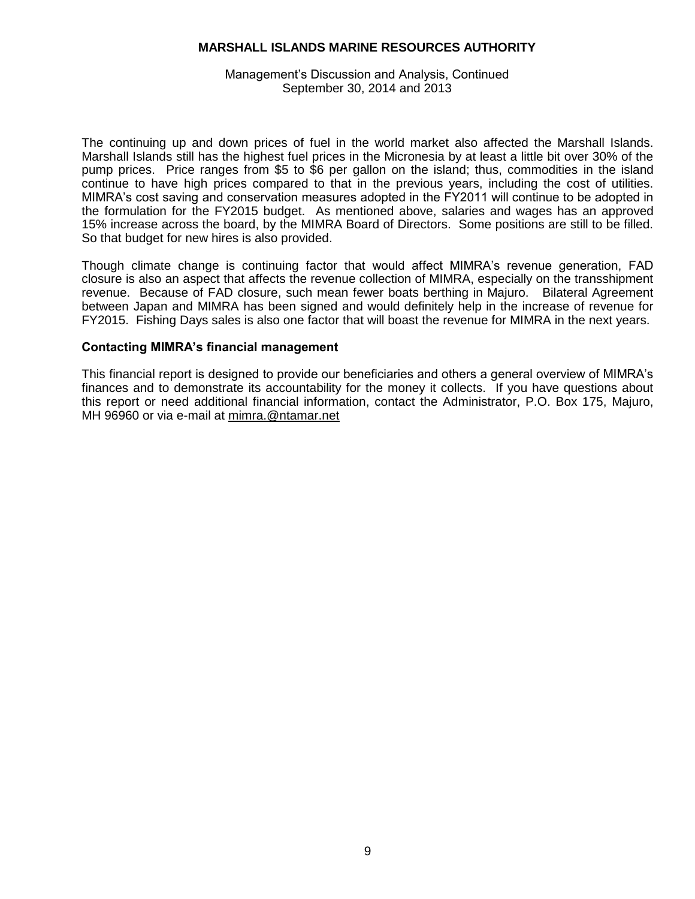### Management's Discussion and Analysis, Continued September 30, 2014 and 2013

The continuing up and down prices of fuel in the world market also affected the Marshall Islands. Marshall Islands still has the highest fuel prices in the Micronesia by at least a little bit over 30% of the pump prices. Price ranges from \$5 to \$6 per gallon on the island; thus, commodities in the island continue to have high prices compared to that in the previous years, including the cost of utilities. MIMRA's cost saving and conservation measures adopted in the FY2011 will continue to be adopted in the formulation for the FY2015 budget. As mentioned above, salaries and wages has an approved 15% increase across the board, by the MIMRA Board of Directors. Some positions are still to be filled. So that budget for new hires is also provided.

Though climate change is continuing factor that would affect MIMRA's revenue generation, FAD closure is also an aspect that affects the revenue collection of MIMRA, especially on the transshipment revenue. Because of FAD closure, such mean fewer boats berthing in Majuro. Bilateral Agreement between Japan and MIMRA has been signed and would definitely help in the increase of revenue for FY2015. Fishing Days sales is also one factor that will boast the revenue for MIMRA in the next years.

### **Contacting MIMRA's financial management**

This financial report is designed to provide our beneficiaries and others a general overview of MIMRA's finances and to demonstrate its accountability for the money it collects. If you have questions about this report or need additional financial information, contact the Administrator, P.O. Box 175, Majuro, MH 96960 or via e-mail at [mimra.@ntamar.net](mailto:mimra.@ntamar.net)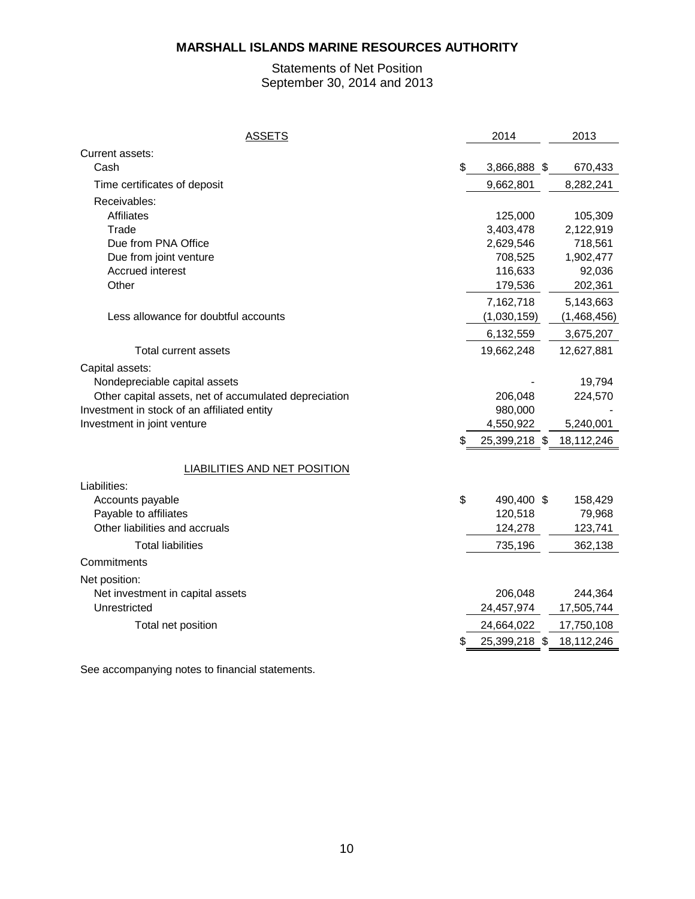# Statements of Net Position September 30, 2014 and 2013

| <b>ASSETS</b>                                           |    | 2014               | 2013              |
|---------------------------------------------------------|----|--------------------|-------------------|
| Current assets:                                         |    |                    |                   |
| Cash                                                    | S  | 3,866,888 \$       | 670,433           |
| Time certificates of deposit                            |    | 9,662,801          | 8,282,241         |
| Receivables:                                            |    |                    |                   |
| <b>Affiliates</b>                                       |    | 125,000            | 105,309           |
| Trade                                                   |    | 3,403,478          | 2,122,919         |
| Due from PNA Office                                     |    | 2,629,546          | 718,561           |
| Due from joint venture                                  |    | 708,525            | 1,902,477         |
| <b>Accrued interest</b>                                 |    | 116,633            | 92,036            |
| Other                                                   |    | 179,536            | 202,361           |
|                                                         |    | 7,162,718          | 5,143,663         |
| Less allowance for doubtful accounts                    |    | (1,030,159)        | (1,468,456)       |
|                                                         |    | 6,132,559          | 3,675,207         |
| Total current assets                                    |    | 19,662,248         | 12,627,881        |
| Capital assets:                                         |    |                    |                   |
| Nondepreciable capital assets                           |    |                    | 19,794            |
| Other capital assets, net of accumulated depreciation   |    | 206,048            | 224,570           |
| Investment in stock of an affiliated entity             |    | 980,000            |                   |
| Investment in joint venture                             |    | 4,550,922          | 5,240,001         |
|                                                         |    | 25,399,218 \$      | 18,112,246        |
|                                                         |    |                    |                   |
| <b>LIABILITIES AND NET POSITION</b>                     |    |                    |                   |
| Liabilities:                                            | \$ |                    |                   |
| Accounts payable                                        |    | 490,400 \$         | 158,429           |
| Payable to affiliates<br>Other liabilities and accruals |    | 120,518<br>124,278 | 79,968<br>123,741 |
|                                                         |    |                    |                   |
| <b>Total liabilities</b>                                |    | 735,196            | 362,138           |
| Commitments                                             |    |                    |                   |
| Net position:                                           |    |                    |                   |
| Net investment in capital assets                        |    | 206,048            | 244,364           |
| Unrestricted                                            |    | 24,457,974         | 17,505,744        |
| Total net position                                      |    | 24,664,022         | 17,750,108        |
|                                                         |    | 25,399,218 \$      | 18,112,246        |
|                                                         |    |                    |                   |

See accompanying notes to financial statements.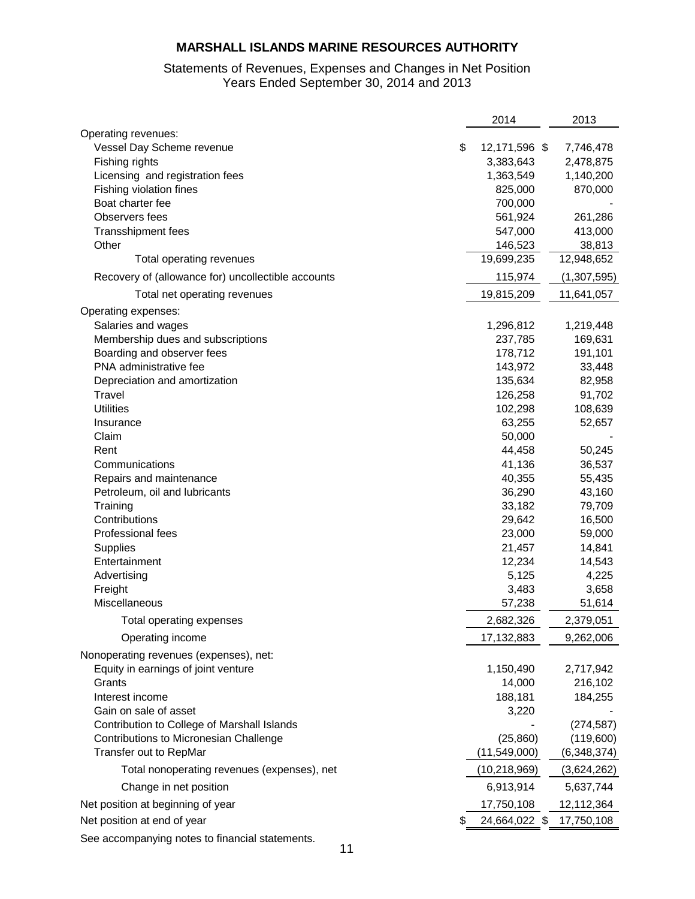#### Statements of Revenues, Expenses and Changes in Net Position Years Ended September 30, 2014 and 2013

|                                                    | 2014                | 2013             |
|----------------------------------------------------|---------------------|------------------|
| Operating revenues:                                |                     |                  |
| Vessel Day Scheme revenue                          | \$<br>12,171,596 \$ | 7,746,478        |
| Fishing rights                                     | 3,383,643           | 2,478,875        |
| Licensing and registration fees                    | 1,363,549           | 1,140,200        |
| Fishing violation fines                            | 825,000             | 870,000          |
| Boat charter fee                                   | 700,000             |                  |
| Observers fees                                     | 561,924             | 261,286          |
| <b>Transshipment fees</b>                          | 547,000             | 413,000          |
| Other                                              | 146,523             | 38,813           |
| Total operating revenues                           | 19,699,235          | 12,948,652       |
| Recovery of (allowance for) uncollectible accounts | 115,974             | (1,307,595)      |
| Total net operating revenues                       | 19,815,209          | 11,641,057       |
| Operating expenses:                                |                     |                  |
| Salaries and wages                                 | 1,296,812           | 1,219,448        |
| Membership dues and subscriptions                  | 237,785             | 169,631          |
| Boarding and observer fees                         | 178,712             | 191,101          |
| PNA administrative fee                             | 143,972             | 33,448           |
| Depreciation and amortization                      | 135,634             | 82,958           |
| Travel                                             | 126,258             | 91,702           |
| <b>Utilities</b>                                   | 102,298             | 108,639          |
| Insurance                                          | 63,255              | 52,657           |
| Claim                                              | 50,000              |                  |
| Rent                                               | 44,458              | 50,245           |
| Communications                                     | 41,136              | 36,537           |
| Repairs and maintenance                            | 40,355              | 55,435           |
| Petroleum, oil and lubricants                      | 36,290              | 43,160           |
| Training<br>Contributions                          | 33,182              | 79,709           |
| Professional fees                                  | 29,642<br>23,000    | 16,500<br>59,000 |
| Supplies                                           | 21,457              | 14,841           |
| Entertainment                                      | 12,234              | 14,543           |
| Advertising                                        | 5,125               | 4,225            |
| Freight                                            | 3,483               | 3,658            |
| Miscellaneous                                      | 57,238              | 51,614           |
| Total operating expenses                           | 2,682,326           | 2,379,051        |
| Operating income                                   | 17,132,883          | 9,262,006        |
| Nonoperating revenues (expenses), net:             |                     |                  |
| Equity in earnings of joint venture                | 1,150,490           | 2,717,942        |
| Grants                                             | 14,000              | 216,102          |
| Interest income                                    | 188,181             | 184,255          |
| Gain on sale of asset                              | 3,220               |                  |
| Contribution to College of Marshall Islands        |                     | (274, 587)       |
| Contributions to Micronesian Challenge             | (25, 860)           | (119,600)        |
| Transfer out to RepMar                             | (11,549,000)        | (6,348,374)      |
| Total nonoperating revenues (expenses), net        | (10, 218, 969)      | (3,624,262)      |
| Change in net position                             | 6,913,914           | 5,637,744        |
| Net position at beginning of year                  | 17,750,108          | 12,112,364       |
| Net position at end of year                        | \$<br>24,664,022 \$ | 17,750,108       |
| See accompanying notes to financial statements.    |                     |                  |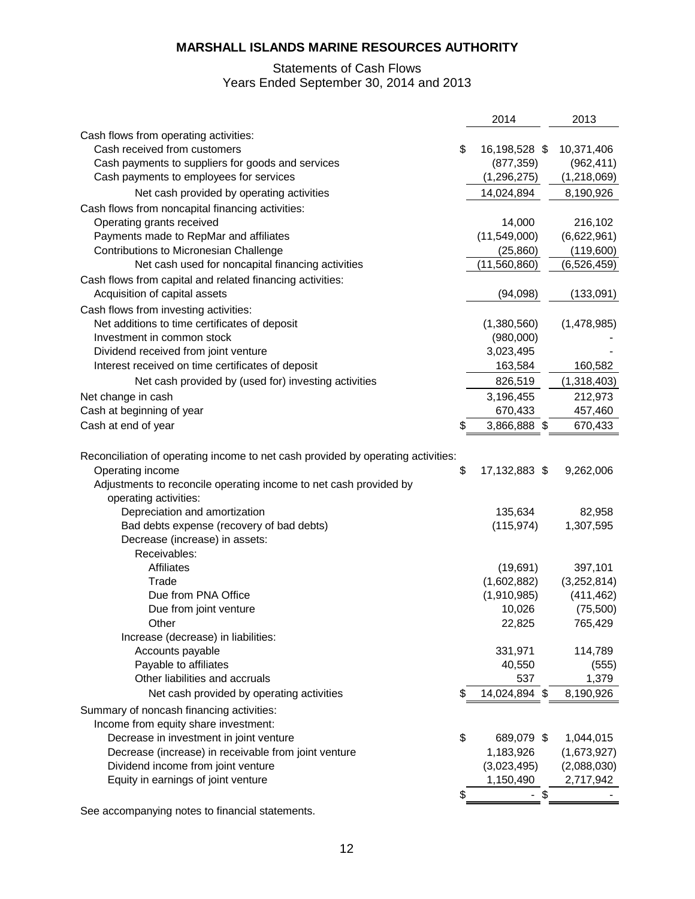# Statements of Cash Flows Years Ended September 30, 2014 and 2013

|                                                                                  | 2014                | 2013        |
|----------------------------------------------------------------------------------|---------------------|-------------|
| Cash flows from operating activities:                                            |                     |             |
| Cash received from customers                                                     | \$<br>16,198,528 \$ | 10,371,406  |
| Cash payments to suppliers for goods and services                                | (877, 359)          | (962, 411)  |
| Cash payments to employees for services                                          | (1, 296, 275)       | (1,218,069) |
| Net cash provided by operating activities                                        | 14,024,894          | 8,190,926   |
| Cash flows from noncapital financing activities:                                 |                     |             |
| Operating grants received                                                        | 14,000              | 216,102     |
| Payments made to RepMar and affiliates                                           | (11,549,000)        | (6,622,961) |
| Contributions to Micronesian Challenge                                           | (25, 860)           | (119,600)   |
| Net cash used for noncapital financing activities                                | (11,560,860)        | (6,526,459) |
| Cash flows from capital and related financing activities:                        |                     |             |
| Acquisition of capital assets                                                    | (94,098)            | (133,091)   |
| Cash flows from investing activities:                                            |                     |             |
| Net additions to time certificates of deposit                                    | (1,380,560)         | (1,478,985) |
| Investment in common stock                                                       | (980,000)           |             |
| Dividend received from joint venture                                             | 3,023,495           |             |
| Interest received on time certificates of deposit                                | 163,584             | 160,582     |
| Net cash provided by (used for) investing activities                             | 826,519             | (1,318,403) |
| Net change in cash                                                               | 3,196,455           | 212,973     |
| Cash at beginning of year                                                        | 670,433             | 457,460     |
| Cash at end of year                                                              | 3,866,888 \$        | 670,433     |
|                                                                                  |                     |             |
| Reconciliation of operating income to net cash provided by operating activities: |                     |             |
| Operating income                                                                 | \$<br>17,132,883 \$ | 9,262,006   |
| Adjustments to reconcile operating income to net cash provided by                |                     |             |
| operating activities:                                                            |                     |             |
| Depreciation and amortization                                                    | 135,634             | 82,958      |
| Bad debts expense (recovery of bad debts)                                        | (115, 974)          | 1,307,595   |
| Decrease (increase) in assets:                                                   |                     |             |
| Receivables:                                                                     |                     |             |
| <b>Affiliates</b>                                                                | (19,691)            | 397,101     |
| Trade                                                                            | (1,602,882)         | (3,252,814) |
| Due from PNA Office                                                              | (1,910,985)         | (411, 462)  |
| Due from joint venture                                                           | 10,026              | (75, 500)   |
| Other                                                                            | 22,825              | 765,429     |
| Increase (decrease) in liabilities:                                              |                     |             |
| Accounts payable                                                                 | 331,971             | 114,789     |
| Payable to affiliates                                                            | 40,550              | (555)       |
| Other liabilities and accruals                                                   | 537                 | 1,379       |
| Net cash provided by operating activities                                        | 14,024,894 \$       | 8,190,926   |
| Summary of noncash financing activities:                                         |                     |             |
| Income from equity share investment:                                             |                     |             |
| Decrease in investment in joint venture                                          | \$<br>689,079 \$    | 1,044,015   |
| Decrease (increase) in receivable from joint venture                             | 1,183,926           | (1,673,927) |
| Dividend income from joint venture                                               | (3,023,495)         | (2,088,030) |
| Equity in earnings of joint venture                                              | 1,150,490           | 2,717,942   |
|                                                                                  | \$<br>- \$          |             |

See accompanying notes to financial statements.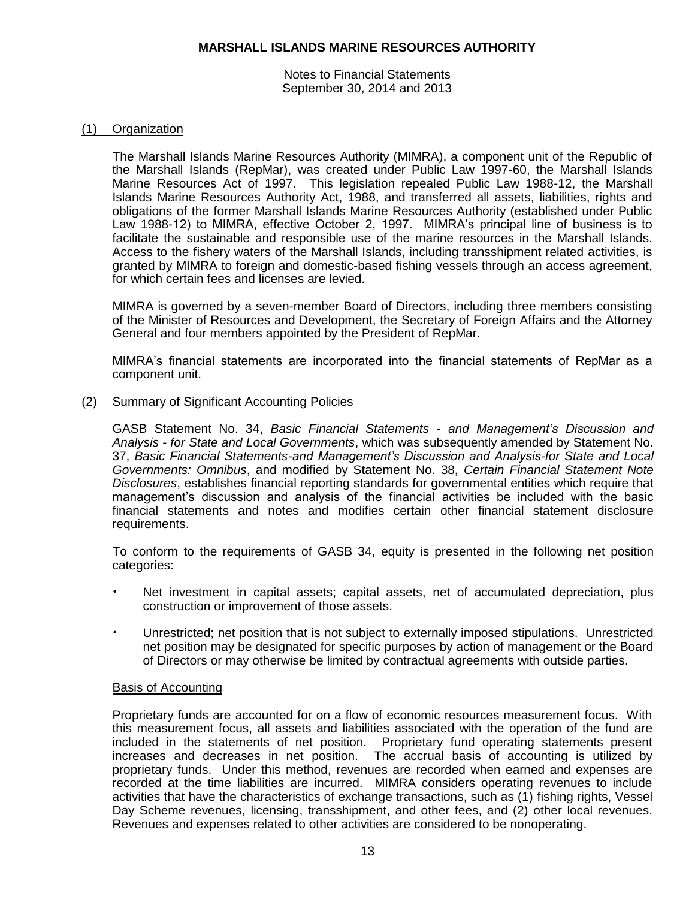Notes to Financial Statements September 30, 2014 and 2013

### (1) Organization

The Marshall Islands Marine Resources Authority (MIMRA), a component unit of the Republic of the Marshall Islands (RepMar), was created under Public Law 1997-60, the Marshall Islands Marine Resources Act of 1997. This legislation repealed Public Law 1988-12, the Marshall Islands Marine Resources Authority Act, 1988, and transferred all assets, liabilities, rights and obligations of the former Marshall Islands Marine Resources Authority (established under Public Law 1988-12) to MIMRA, effective October 2, 1997. MIMRA's principal line of business is to facilitate the sustainable and responsible use of the marine resources in the Marshall Islands. Access to the fishery waters of the Marshall Islands, including transshipment related activities, is granted by MIMRA to foreign and domestic-based fishing vessels through an access agreement, for which certain fees and licenses are levied.

MIMRA is governed by a seven-member Board of Directors, including three members consisting of the Minister of Resources and Development, the Secretary of Foreign Affairs and the Attorney General and four members appointed by the President of RepMar.

MIMRA's financial statements are incorporated into the financial statements of RepMar as a component unit.

### (2) Summary of Significant Accounting Policies

GASB Statement No. 34, *Basic Financial Statements - and Management's Discussion and Analysis - for State and Local Governments*, which was subsequently amended by Statement No. 37, *Basic Financial Statements-and Management's Discussion and Analysis-for State and Local Governments: Omnibus*, and modified by Statement No. 38, *Certain Financial Statement Note Disclosures*, establishes financial reporting standards for governmental entities which require that management's discussion and analysis of the financial activities be included with the basic financial statements and notes and modifies certain other financial statement disclosure requirements.

To conform to the requirements of GASB 34, equity is presented in the following net position categories:

- Net investment in capital assets; capital assets, net of accumulated depreciation, plus construction or improvement of those assets.
- Unrestricted; net position that is not subject to externally imposed stipulations. Unrestricted net position may be designated for specific purposes by action of management or the Board of Directors or may otherwise be limited by contractual agreements with outside parties.

### Basis of Accounting

Proprietary funds are accounted for on a flow of economic resources measurement focus. With this measurement focus, all assets and liabilities associated with the operation of the fund are included in the statements of net position. Proprietary fund operating statements present increases and decreases in net position. The accrual basis of accounting is utilized by proprietary funds. Under this method, revenues are recorded when earned and expenses are recorded at the time liabilities are incurred. MIMRA considers operating revenues to include activities that have the characteristics of exchange transactions, such as (1) fishing rights, Vessel Day Scheme revenues, licensing, transshipment, and other fees, and (2) other local revenues. Revenues and expenses related to other activities are considered to be nonoperating.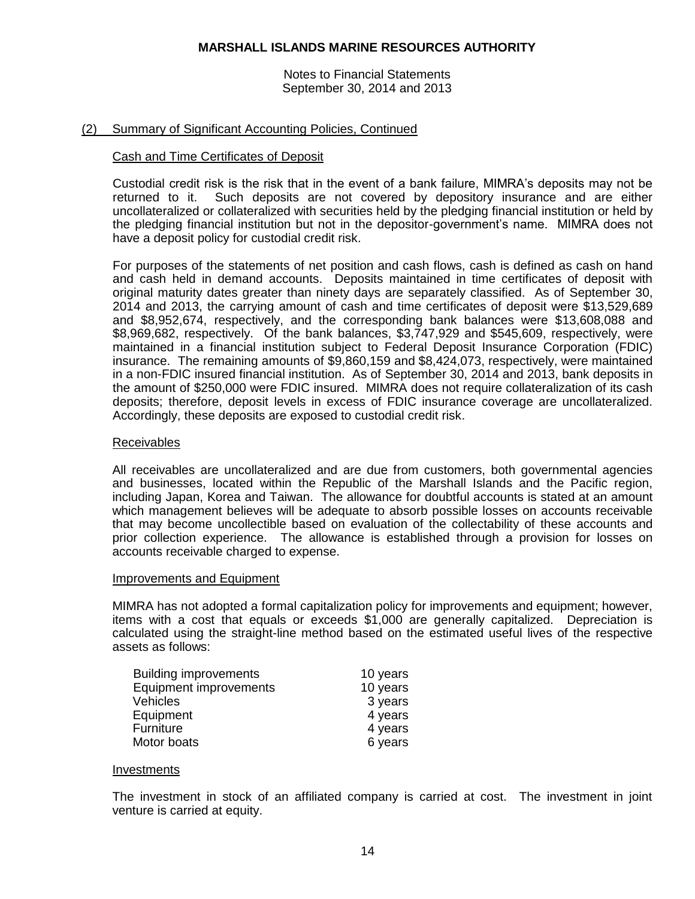Notes to Financial Statements September 30, 2014 and 2013

### (2) Summary of Significant Accounting Policies, Continued

### Cash and Time Certificates of Deposit

Custodial credit risk is the risk that in the event of a bank failure, MIMRA's deposits may not be returned to it. Such deposits are not covered by depository insurance and are either uncollateralized or collateralized with securities held by the pledging financial institution or held by the pledging financial institution but not in the depositor-government's name. MIMRA does not have a deposit policy for custodial credit risk.

For purposes of the statements of net position and cash flows, cash is defined as cash on hand and cash held in demand accounts. Deposits maintained in time certificates of deposit with original maturity dates greater than ninety days are separately classified. As of September 30, 2014 and 2013, the carrying amount of cash and time certificates of deposit were \$13,529,689 and \$8,952,674, respectively, and the corresponding bank balances were \$13,608,088 and \$8,969,682, respectively. Of the bank balances, \$3,747,929 and \$545,609, respectively, were maintained in a financial institution subject to Federal Deposit Insurance Corporation (FDIC) insurance. The remaining amounts of \$9,860,159 and \$8,424,073, respectively, were maintained in a non-FDIC insured financial institution. As of September 30, 2014 and 2013, bank deposits in the amount of \$250,000 were FDIC insured. MIMRA does not require collateralization of its cash deposits; therefore, deposit levels in excess of FDIC insurance coverage are uncollateralized. Accordingly, these deposits are exposed to custodial credit risk.

#### Receivables

All receivables are uncollateralized and are due from customers, both governmental agencies and businesses, located within the Republic of the Marshall Islands and the Pacific region, including Japan, Korea and Taiwan. The allowance for doubtful accounts is stated at an amount which management believes will be adequate to absorb possible losses on accounts receivable that may become uncollectible based on evaluation of the collectability of these accounts and prior collection experience. The allowance is established through a provision for losses on accounts receivable charged to expense.

#### Improvements and Equipment

MIMRA has not adopted a formal capitalization policy for improvements and equipment; however, items with a cost that equals or exceeds \$1,000 are generally capitalized. Depreciation is calculated using the straight-line method based on the estimated useful lives of the respective assets as follows:

| <b>Building improvements</b> | 10 years |
|------------------------------|----------|
| Equipment improvements       | 10 years |
| <b>Vehicles</b>              | 3 years  |
| Equipment                    | 4 years  |
| Furniture                    | 4 years  |
| Motor boats                  | 6 years  |

#### Investments

The investment in stock of an affiliated company is carried at cost. The investment in joint venture is carried at equity.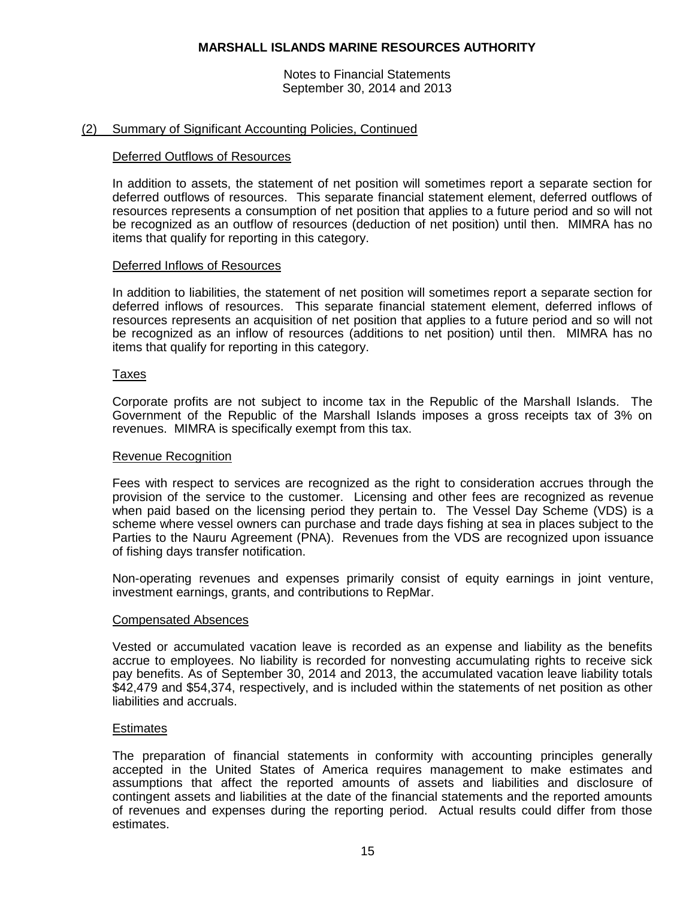Notes to Financial Statements September 30, 2014 and 2013

### (2) Summary of Significant Accounting Policies, Continued

#### Deferred Outflows of Resources

In addition to assets, the statement of net position will sometimes report a separate section for deferred outflows of resources. This separate financial statement element, deferred outflows of resources represents a consumption of net position that applies to a future period and so will not be recognized as an outflow of resources (deduction of net position) until then. MIMRA has no items that qualify for reporting in this category.

#### Deferred Inflows of Resources

In addition to liabilities, the statement of net position will sometimes report a separate section for deferred inflows of resources. This separate financial statement element, deferred inflows of resources represents an acquisition of net position that applies to a future period and so will not be recognized as an inflow of resources (additions to net position) until then. MIMRA has no items that qualify for reporting in this category.

#### Taxes

Corporate profits are not subject to income tax in the Republic of the Marshall Islands. The Government of the Republic of the Marshall Islands imposes a gross receipts tax of 3% on revenues. MIMRA is specifically exempt from this tax.

#### Revenue Recognition

Fees with respect to services are recognized as the right to consideration accrues through the provision of the service to the customer. Licensing and other fees are recognized as revenue when paid based on the licensing period they pertain to. The Vessel Day Scheme (VDS) is a scheme where vessel owners can purchase and trade days fishing at sea in places subject to the Parties to the Nauru Agreement (PNA). Revenues from the VDS are recognized upon issuance of fishing days transfer notification.

Non-operating revenues and expenses primarily consist of equity earnings in joint venture, investment earnings, grants, and contributions to RepMar.

#### Compensated Absences

Vested or accumulated vacation leave is recorded as an expense and liability as the benefits accrue to employees. No liability is recorded for nonvesting accumulating rights to receive sick pay benefits. As of September 30, 2014 and 2013, the accumulated vacation leave liability totals \$42,479 and \$54,374, respectively, and is included within the statements of net position as other liabilities and accruals.

#### **Estimates**

The preparation of financial statements in conformity with accounting principles generally accepted in the United States of America requires management to make estimates and assumptions that affect the reported amounts of assets and liabilities and disclosure of contingent assets and liabilities at the date of the financial statements and the reported amounts of revenues and expenses during the reporting period. Actual results could differ from those estimates.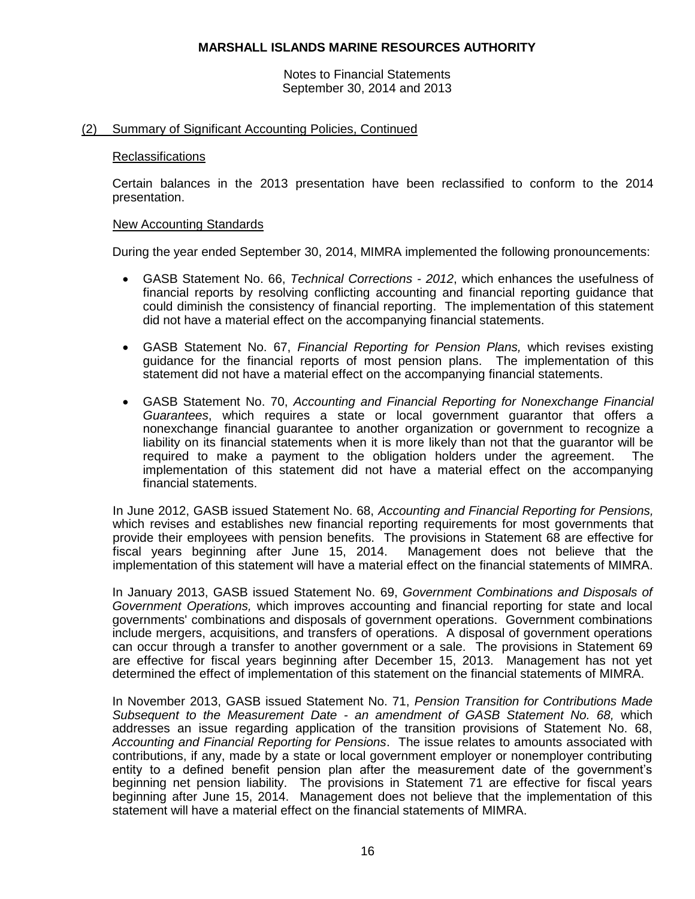Notes to Financial Statements September 30, 2014 and 2013

### (2) Summary of Significant Accounting Policies, Continued

### **Reclassifications**

Certain balances in the 2013 presentation have been reclassified to conform to the 2014 presentation.

### New Accounting Standards

During the year ended September 30, 2014, MIMRA implemented the following pronouncements:

- GASB Statement No. 66, *Technical Corrections - 2012*, which enhances the usefulness of financial reports by resolving conflicting accounting and financial reporting guidance that could diminish the consistency of financial reporting. The implementation of this statement did not have a material effect on the accompanying financial statements.
- GASB Statement No. 67, *Financial Reporting for Pension Plans,* which revises existing guidance for the financial reports of most pension plans. The implementation of this statement did not have a material effect on the accompanying financial statements.
- GASB Statement No. 70, *Accounting and Financial Reporting for Nonexchange Financial Guarantees*, which requires a state or local government guarantor that offers a nonexchange financial guarantee to another organization or government to recognize a liability on its financial statements when it is more likely than not that the guarantor will be required to make a payment to the obligation holders under the agreement. The implementation of this statement did not have a material effect on the accompanying financial statements.

In June 2012, GASB issued Statement No. 68, *Accounting and Financial Reporting for Pensions,*  which revises and establishes new financial reporting requirements for most governments that provide their employees with pension benefits. The provisions in Statement 68 are effective for fiscal years beginning after June 15, 2014. Management does not believe that the implementation of this statement will have a material effect on the financial statements of MIMRA.

In January 2013, GASB issued Statement No. 69, *Government Combinations and Disposals of Government Operations,* which improves accounting and financial reporting for state and local governments' combinations and disposals of government operations. Government combinations include mergers, acquisitions, and transfers of operations. A disposal of government operations can occur through a transfer to another government or a sale. The provisions in Statement 69 are effective for fiscal years beginning after December 15, 2013. Management has not yet determined the effect of implementation of this statement on the financial statements of MIMRA.

In November 2013, GASB issued Statement No. 71, *Pension Transition for Contributions Made Subsequent to the Measurement Date - an amendment of GASB Statement No. 68,* which addresses an issue regarding application of the transition provisions of Statement No. 68, *Accounting and Financial Reporting for Pensions*. The issue relates to amounts associated with contributions, if any, made by a state or local government employer or nonemployer contributing entity to a defined benefit pension plan after the measurement date of the government's beginning net pension liability. The provisions in Statement 71 are effective for fiscal years beginning after June 15, 2014. Management does not believe that the implementation of this statement will have a material effect on the financial statements of MIMRA.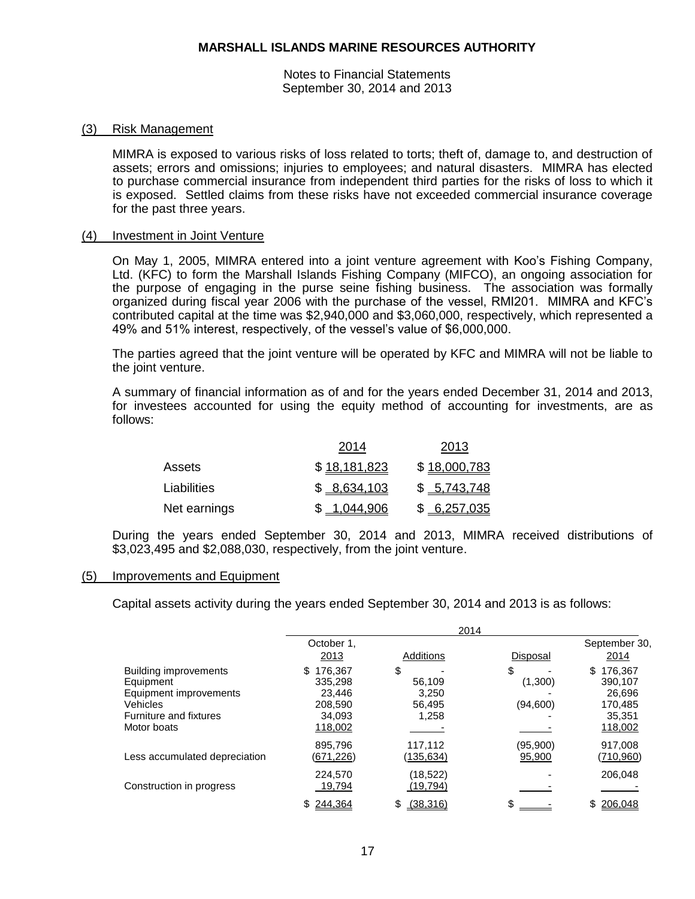Notes to Financial Statements September 30, 2014 and 2013

#### (3) Risk Management

MIMRA is exposed to various risks of loss related to torts; theft of, damage to, and destruction of assets; errors and omissions; injuries to employees; and natural disasters. MIMRA has elected to purchase commercial insurance from independent third parties for the risks of loss to which it is exposed. Settled claims from these risks have not exceeded commercial insurance coverage for the past three years.

### (4) Investment in Joint Venture

On May 1, 2005, MIMRA entered into a joint venture agreement with Koo's Fishing Company, Ltd. (KFC) to form the Marshall Islands Fishing Company (MIFCO), an ongoing association for the purpose of engaging in the purse seine fishing business. The association was formally organized during fiscal year 2006 with the purchase of the vessel, RMI201. MIMRA and KFC's contributed capital at the time was \$2,940,000 and \$3,060,000, respectively, which represented a 49% and 51% interest, respectively, of the vessel's value of \$6,000,000.

The parties agreed that the joint venture will be operated by KFC and MIMRA will not be liable to the joint venture.

A summary of financial information as of and for the years ended December 31, 2014 and 2013, for investees accounted for using the equity method of accounting for investments, are as follows:

|              | 2014         | 2013         |
|--------------|--------------|--------------|
| Assets       | \$18,181,823 | \$18,000,783 |
| Liabilities  | \$0.634,103  | \$ 5,743,748 |
| Net earnings | \$ 1,044,906 | \$6,257,035  |

During the years ended September 30, 2014 and 2013, MIMRA received distributions of \$3,023,495 and \$2,088,030, respectively, from the joint venture.

#### (5) Improvements and Equipment

Capital assets activity during the years ended September 30, 2014 and 2013 is as follows:

|                               | 2014           |                 |          |                |
|-------------------------------|----------------|-----------------|----------|----------------|
|                               | October 1,     |                 |          | September 30,  |
|                               | 2013           | Additions       | Disposal | 2014           |
| <b>Building improvements</b>  | 176.367<br>\$. | \$              | \$       | 176.367<br>\$. |
| Equipment                     | 335.298        | 56.109          | (1,300)  | 390.107        |
| Equipment improvements        | 23.446         | 3.250           |          | 26,696         |
| Vehicles                      | 208.590        | 56,495          | (94,600) | 170,485        |
| Furniture and fixtures        | 34.093         | 1,258           |          | 35,351         |
| Motor boats                   | 118,002        |                 |          | 118,002        |
|                               | 895.796        | 117.112         | (95,900) | 917.008        |
| Less accumulated depreciation | (671, 226)     | (135,634)       | 95,900   | (710,960)      |
|                               | 224.570        | (18, 522)       |          | 206,048        |
| Construction in progress      | 19,794         | (19, 794)       |          |                |
|                               | 244.364        | (38, 316)<br>\$ |          | 206.048        |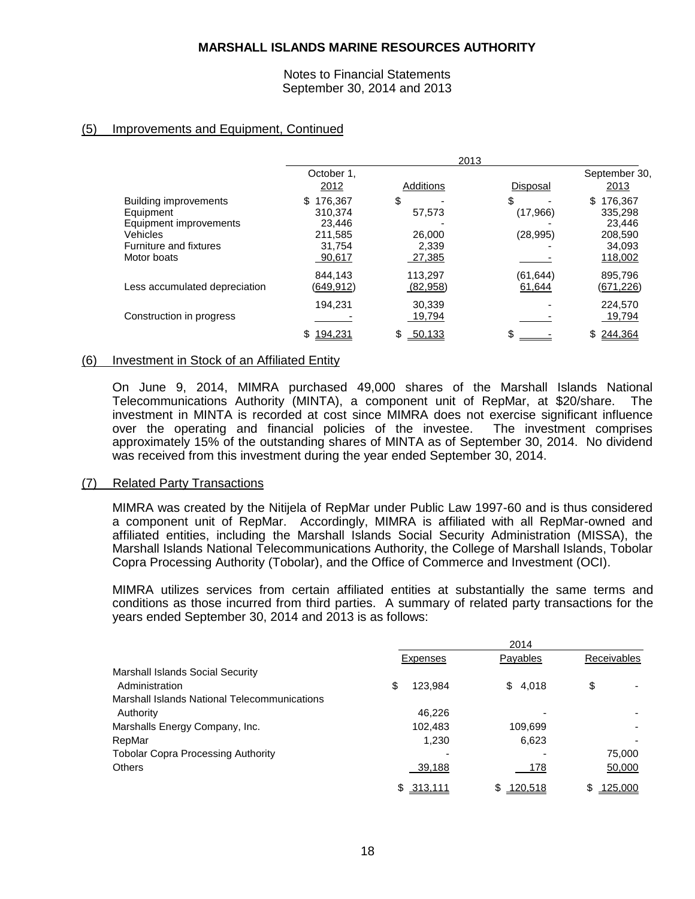Notes to Financial Statements September 30, 2014 and 2013

### (5) Improvements and Equipment, Continued

|                               | 2013          |              |           |                |
|-------------------------------|---------------|--------------|-----------|----------------|
|                               | October 1.    |              |           | September 30,  |
|                               | 2012          | Additions    | Disposal  | 2013           |
| <b>Building improvements</b>  | 176.367<br>S. | \$           | S         | 176.367<br>\$. |
| Equipment                     | 310.374       | 57,573       | (17,966)  | 335,298        |
| Equipment improvements        | 23.446        |              |           | 23,446         |
| Vehicles                      | 211.585       | 26,000       | (28, 995) | 208,590        |
| Furniture and fixtures        | 31.754        | 2,339        |           | 34.093         |
| Motor boats                   | 90,617        | 27,385       |           | 118,002        |
|                               | 844.143       | 113.297      | (61, 644) | 895,796        |
| Less accumulated depreciation | (649,912)     | (82, 958)    | 61,644    | (671, 226)     |
|                               | 194,231       | 30,339       |           | 224.570        |
| Construction in progress      |               | 19,794       |           | 19,794         |
|                               | 194,231       | 50,133<br>\$ |           | 244,364        |

### (6) Investment in Stock of an Affiliated Entity

On June 9, 2014, MIMRA purchased 49,000 shares of the Marshall Islands National Telecommunications Authority (MINTA), a component unit of RepMar, at \$20/share. The investment in MINTA is recorded at cost since MIMRA does not exercise significant influence over the operating and financial policies of the investee. The investment comprises approximately 15% of the outstanding shares of MINTA as of September 30, 2014. No dividend was received from this investment during the year ended September 30, 2014.

#### (7) Related Party Transactions

MIMRA was created by the Nitijela of RepMar under Public Law 1997-60 and is thus considered a component unit of RepMar. Accordingly, MIMRA is affiliated with all RepMar-owned and affiliated entities, including the Marshall Islands Social Security Administration (MISSA), the Marshall Islands National Telecommunications Authority, the College of Marshall Islands, Tobolar Copra Processing Authority (Tobolar), and the Office of Commerce and Investment (OCI).

MIMRA utilizes services from certain affiliated entities at substantially the same terms and conditions as those incurred from third parties. A summary of related party transactions for the years ended September 30, 2014 and 2013 is as follows:

|                                              | 2014            |          |                    |
|----------------------------------------------|-----------------|----------|--------------------|
|                                              | <b>Expenses</b> | Payables | <b>Receivables</b> |
| Marshall Islands Social Security             |                 |          |                    |
| Administration                               | \$<br>123.984   | \$4,018  | \$                 |
| Marshall Islands National Telecommunications |                 |          |                    |
| Authority                                    | 46.226          |          |                    |
| Marshalls Energy Company, Inc.               | 102,483         | 109,699  |                    |
| RepMar                                       | 1,230           | 6,623    |                    |
| <b>Tobolar Copra Processing Authority</b>    |                 |          | 75,000             |
| <b>Others</b>                                | 39,188          | 178      | 50,000             |
|                                              | 313,111<br>S.   | 120,518  | 125,000            |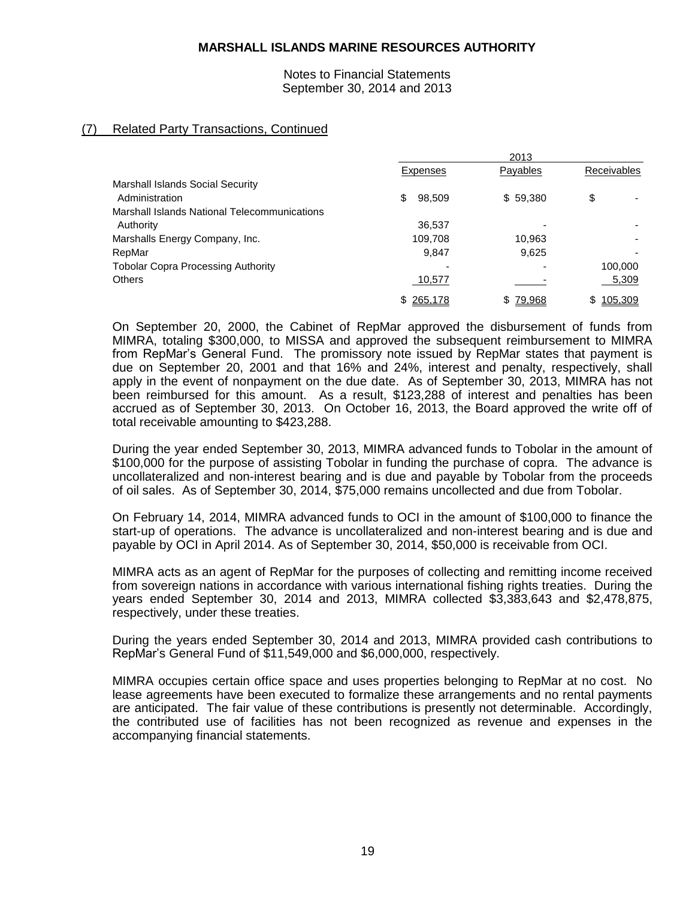### Notes to Financial Statements September 30, 2014 and 2013

# (7) Related Party Transactions, Continued

|                                              | 2013          |              |                |
|----------------------------------------------|---------------|--------------|----------------|
|                                              | Expenses      | Payables     | Receivables    |
| Marshall Islands Social Security             |               |              |                |
| Administration                               | \$.<br>98,509 | \$59,380     | \$             |
| Marshall Islands National Telecommunications |               |              |                |
| Authority                                    | 36,537        |              |                |
| Marshalls Energy Company, Inc.               | 109,708       | 10,963       |                |
| RepMar                                       | 9,847         | 9,625        |                |
| <b>Tobolar Copra Processing Authority</b>    |               |              | 100,000        |
| <b>Others</b>                                | 10,577        |              | 5,309          |
|                                              | 265.178<br>S. | 79.968<br>S. | 105.309<br>\$. |

On September 20, 2000, the Cabinet of RepMar approved the disbursement of funds from MIMRA, totaling \$300,000, to MISSA and approved the subsequent reimbursement to MIMRA from RepMar's General Fund. The promissory note issued by RepMar states that payment is due on September 20, 2001 and that 16% and 24%, interest and penalty, respectively, shall apply in the event of nonpayment on the due date. As of September 30, 2013, MIMRA has not been reimbursed for this amount. As a result, \$123,288 of interest and penalties has been accrued as of September 30, 2013. On October 16, 2013, the Board approved the write off of total receivable amounting to \$423,288.

During the year ended September 30, 2013, MIMRA advanced funds to Tobolar in the amount of \$100,000 for the purpose of assisting Tobolar in funding the purchase of copra. The advance is uncollateralized and non-interest bearing and is due and payable by Tobolar from the proceeds of oil sales. As of September 30, 2014, \$75,000 remains uncollected and due from Tobolar.

On February 14, 2014, MIMRA advanced funds to OCI in the amount of \$100,000 to finance the start-up of operations. The advance is uncollateralized and non-interest bearing and is due and payable by OCI in April 2014. As of September 30, 2014, \$50,000 is receivable from OCI.

MIMRA acts as an agent of RepMar for the purposes of collecting and remitting income received from sovereign nations in accordance with various international fishing rights treaties. During the years ended September 30, 2014 and 2013, MIMRA collected \$3,383,643 and \$2,478,875, respectively, under these treaties.

During the years ended September 30, 2014 and 2013, MIMRA provided cash contributions to RepMar's General Fund of \$11,549,000 and \$6,000,000, respectively.

MIMRA occupies certain office space and uses properties belonging to RepMar at no cost. No lease agreements have been executed to formalize these arrangements and no rental payments are anticipated. The fair value of these contributions is presently not determinable. Accordingly, the contributed use of facilities has not been recognized as revenue and expenses in the accompanying financial statements.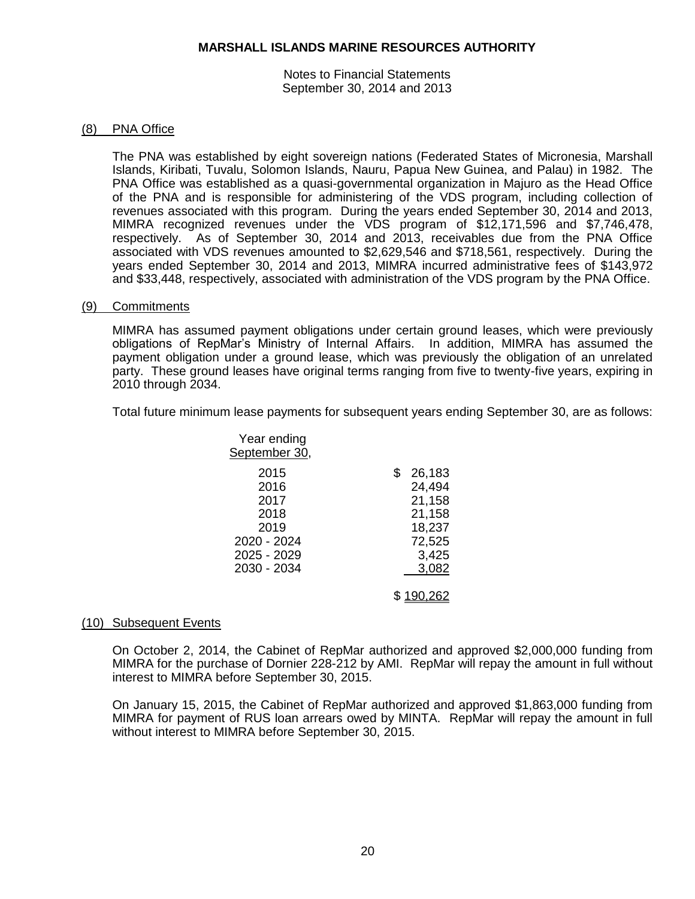Notes to Financial Statements September 30, 2014 and 2013

### (8) PNA Office

The PNA was established by eight sovereign nations (Federated States of Micronesia, Marshall Islands, Kiribati, Tuvalu, Solomon Islands, Nauru, Papua New Guinea, and Palau) in 1982. The PNA Office was established as a quasi-governmental organization in Majuro as the Head Office of the PNA and is responsible for administering of the VDS program, including collection of revenues associated with this program. During the years ended September 30, 2014 and 2013, MIMRA recognized revenues under the VDS program of \$12,171,596 and \$7,746,478, respectively. As of September 30, 2014 and 2013, receivables due from the PNA Office associated with VDS revenues amounted to \$2,629,546 and \$718,561, respectively. During the years ended September 30, 2014 and 2013, MIMRA incurred administrative fees of \$143,972 and \$33,448, respectively, associated with administration of the VDS program by the PNA Office.

### (9) Commitments

MIMRA has assumed payment obligations under certain ground leases, which were previously obligations of RepMar's Ministry of Internal Affairs. In addition, MIMRA has assumed the payment obligation under a ground lease, which was previously the obligation of an unrelated party. These ground leases have original terms ranging from five to twenty-five years, expiring in 2010 through 2034.

Total future minimum lease payments for subsequent years ending September 30, are as follows:

| Year ending<br>September 30, |              |
|------------------------------|--------------|
| 2015                         | \$<br>26,183 |
| 2016                         | 24,494       |
| 2017                         | 21,158       |
| 2018                         | 21,158       |
| 2019                         | 18,237       |
| 2020 - 2024                  | 72,525       |
| 2025 - 2029                  | 3,425        |
| 2030 - 2034                  | 3,082        |
|                              | \$ 190.262   |

### (10) Subsequent Events

On October 2, 2014, the Cabinet of RepMar authorized and approved \$2,000,000 funding from MIMRA for the purchase of Dornier 228-212 by AMI. RepMar will repay the amount in full without interest to MIMRA before September 30, 2015.

On January 15, 2015, the Cabinet of RepMar authorized and approved \$1,863,000 funding from MIMRA for payment of RUS loan arrears owed by MINTA. RepMar will repay the amount in full without interest to MIMRA before September 30, 2015.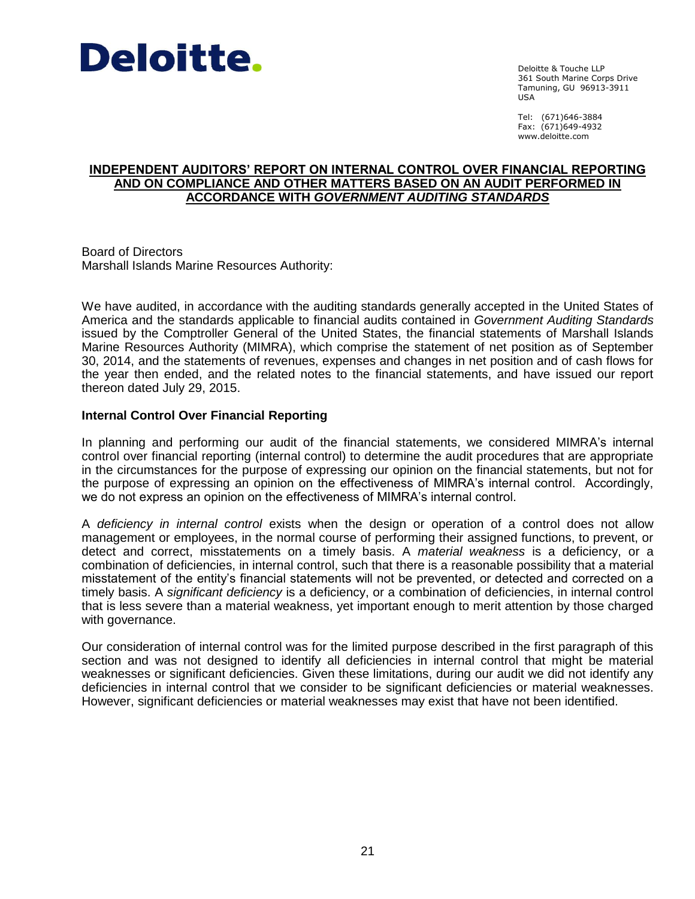

Deloitte & Touche LLP 361 South Marine Corps Drive Tamuning, GU 96913-3911 USA

Tel: (671)646-3884 Fax: (671)649-4932 www.deloitte.com

### **INDEPENDENT AUDITORS' REPORT ON INTERNAL CONTROL OVER FINANCIAL REPORTING AND ON COMPLIANCE AND OTHER MATTERS BASED ON AN AUDIT PERFORMED IN ACCORDANCE WITH** *GOVERNMENT AUDITING STANDARDS*

Board of Directors Marshall Islands Marine Resources Authority:

We have audited, in accordance with the auditing standards generally accepted in the United States of America and the standards applicable to financial audits contained in *Government Auditing Standards* issued by the Comptroller General of the United States, the financial statements of Marshall Islands Marine Resources Authority (MIMRA), which comprise the statement of net position as of September 30, 2014, and the statements of revenues, expenses and changes in net position and of cash flows for the year then ended, and the related notes to the financial statements, and have issued our report thereon dated July 29, 2015.

# **Internal Control Over Financial Reporting**

In planning and performing our audit of the financial statements, we considered MIMRA's internal control over financial reporting (internal control) to determine the audit procedures that are appropriate in the circumstances for the purpose of expressing our opinion on the financial statements, but not for the purpose of expressing an opinion on the effectiveness of MIMRA's internal control. Accordingly, we do not express an opinion on the effectiveness of MIMRA's internal control.

A *deficiency in internal control* exists when the design or operation of a control does not allow management or employees, in the normal course of performing their assigned functions, to prevent, or detect and correct, misstatements on a timely basis. A *material weakness* is a deficiency, or a combination of deficiencies, in internal control, such that there is a reasonable possibility that a material misstatement of the entity's financial statements will not be prevented, or detected and corrected on a timely basis. A *significant deficiency* is a deficiency, or a combination of deficiencies, in internal control that is less severe than a material weakness, yet important enough to merit attention by those charged with governance.

Our consideration of internal control was for the limited purpose described in the first paragraph of this section and was not designed to identify all deficiencies in internal control that might be material weaknesses or significant deficiencies. Given these limitations, during our audit we did not identify any deficiencies in internal control that we consider to be significant deficiencies or material weaknesses. However, significant deficiencies or material weaknesses may exist that have not been identified.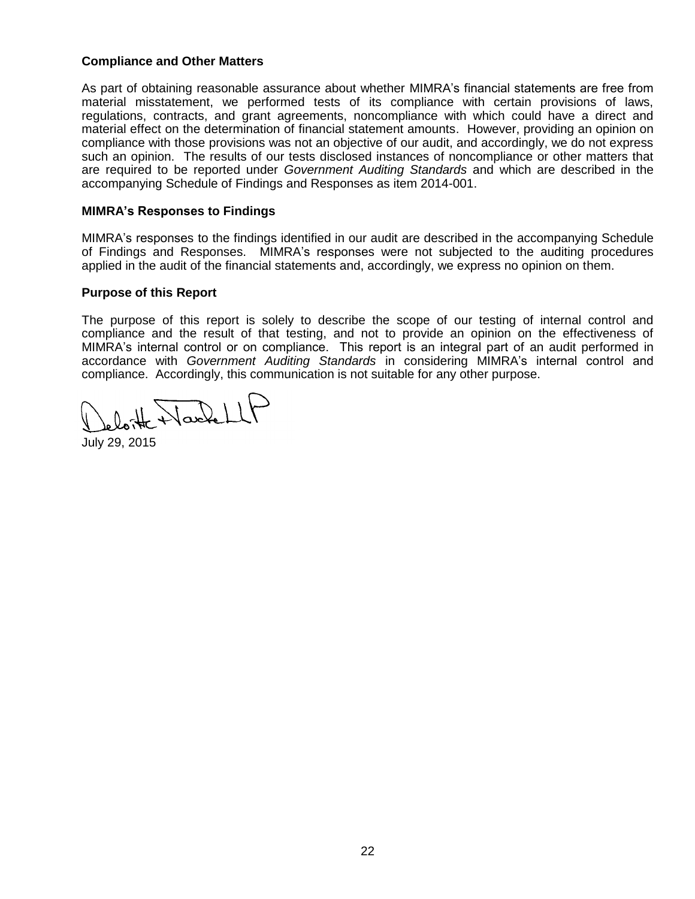### **Compliance and Other Matters**

As part of obtaining reasonable assurance about whether MIMRA's financial statements are free from material misstatement, we performed tests of its compliance with certain provisions of laws, regulations, contracts, and grant agreements, noncompliance with which could have a direct and material effect on the determination of financial statement amounts. However, providing an opinion on compliance with those provisions was not an objective of our audit, and accordingly, we do not express such an opinion. The results of our tests disclosed instances of noncompliance or other matters that are required to be reported under *Government Auditing Standards* and which are described in the accompanying Schedule of Findings and Responses as item 2014-001.

### **MIMRA's Responses to Findings**

MIMRA's responses to the findings identified in our audit are described in the accompanying Schedule of Findings and Responses. MIMRA's responses were not subjected to the auditing procedures applied in the audit of the financial statements and, accordingly, we express no opinion on them.

### **Purpose of this Report**

The purpose of this report is solely to describe the scope of our testing of internal control and compliance and the result of that testing, and not to provide an opinion on the effectiveness of MIMRA's internal control or on compliance. This report is an integral part of an audit performed in accordance with *Government Auditing Standards* in considering MIMRA's internal control and compliance. Accordingly, this communication is not suitable for any other purpose.

loite Nachell

July 29, 2015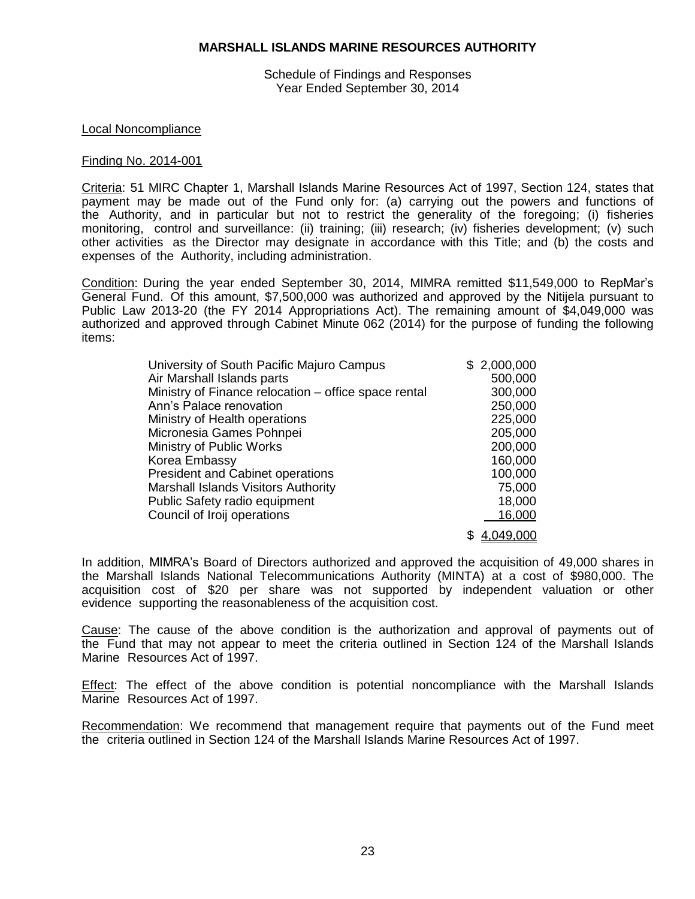Schedule of Findings and Responses Year Ended September 30, 2014

#### Local Noncompliance

### Finding No. 2014-001

Criteria: 51 MIRC Chapter 1, Marshall Islands Marine Resources Act of 1997, Section 124, states that payment may be made out of the Fund only for: (a) carrying out the powers and functions of the Authority, and in particular but not to restrict the generality of the foregoing; (i) fisheries monitoring, control and surveillance: (ii) training; (iii) research; (iv) fisheries development; (v) such other activities as the Director may designate in accordance with this Title; and (b) the costs and expenses of the Authority, including administration.

Condition: During the year ended September 30, 2014, MIMRA remitted \$11,549,000 to RepMar's General Fund. Of this amount, \$7,500,000 was authorized and approved by the Nitijela pursuant to Public Law 2013-20 (the FY 2014 Appropriations Act). The remaining amount of \$4,049,000 was authorized and approved through Cabinet Minute 062 (2014) for the purpose of funding the following items:

| University of South Pacific Majuro Campus            | \$2,000,000      |
|------------------------------------------------------|------------------|
| Air Marshall Islands parts                           | 500,000          |
| Ministry of Finance relocation – office space rental | 300,000          |
| Ann's Palace renovation                              | 250,000          |
| Ministry of Health operations                        | 225,000          |
| Micronesia Games Pohnpei                             | 205,000          |
| Ministry of Public Works                             | 200,000          |
| Korea Embassy                                        | 160,000          |
| <b>President and Cabinet operations</b>              | 100,000          |
| Marshall Islands Visitors Authority                  | 75,000           |
| Public Safety radio equipment                        | 18,000           |
| Council of Iroij operations                          | 16,000           |
|                                                      | <u>4.049.000</u> |

In addition, MIMRA's Board of Directors authorized and approved the acquisition of 49,000 shares in the Marshall Islands National Telecommunications Authority (MINTA) at a cost of \$980,000. The acquisition cost of \$20 per share was not supported by independent valuation or other evidence supporting the reasonableness of the acquisition cost.

Cause: The cause of the above condition is the authorization and approval of payments out of the Fund that may not appear to meet the criteria outlined in Section 124 of the Marshall Islands Marine Resources Act of 1997.

Effect: The effect of the above condition is potential noncompliance with the Marshall Islands Marine Resources Act of 1997.

Recommendation: We recommend that management require that payments out of the Fund meet the criteria outlined in Section 124 of the Marshall Islands Marine Resources Act of 1997.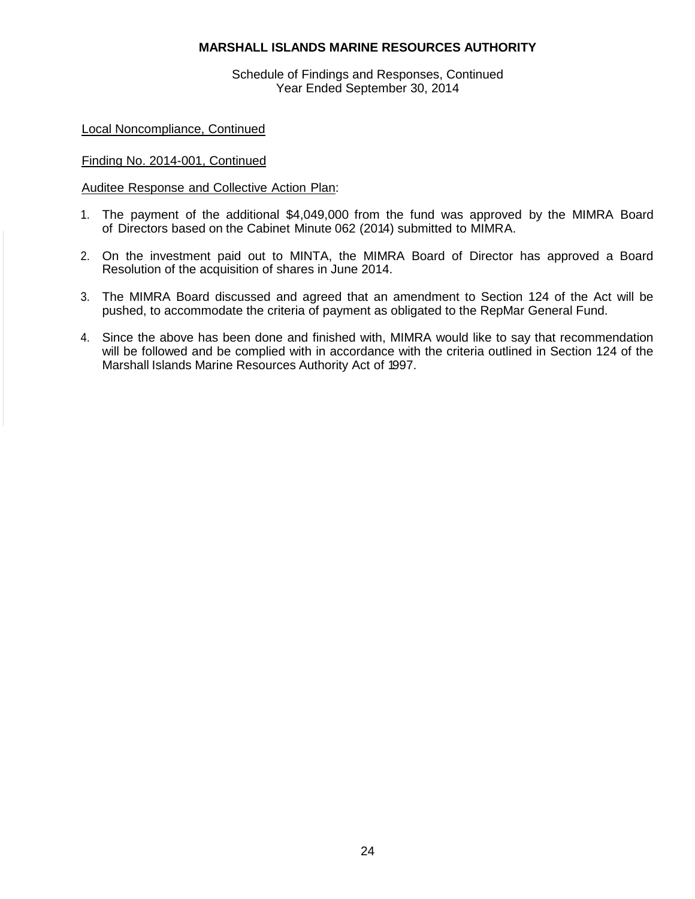Schedule of Findings and Responses, Continued Year Ended September 30, 2014

### Local Noncompliance, Continued

### Finding No. 2014-001, Continued

### Auditee Response and Collective Action Plan:

- 1. The payment of the additional \$4,049,000 from the fund was approved by the MIMRA Board of Directors based on the Cabinet Minute 062 (2014) submitted to MIMRA.
- 2. On the investment paid out to MINTA, the MIMRA Board of Director has approved a Board Resolution of the acquisition of shares in June 2014.
- 3. The MIMRA Board discussed and agreed that an amendment to Section 124 of the Act will be pushed, to accommodate the criteria of payment as obligated to the RepMar General Fund.
- 4. Since the above has been done and finished with, MIMRA would like to say that recommendation will be followed and be complied with in accordance with the criteria outlined in Section 124 of the Marshall Islands Marine Resources Authority Act of 1997.